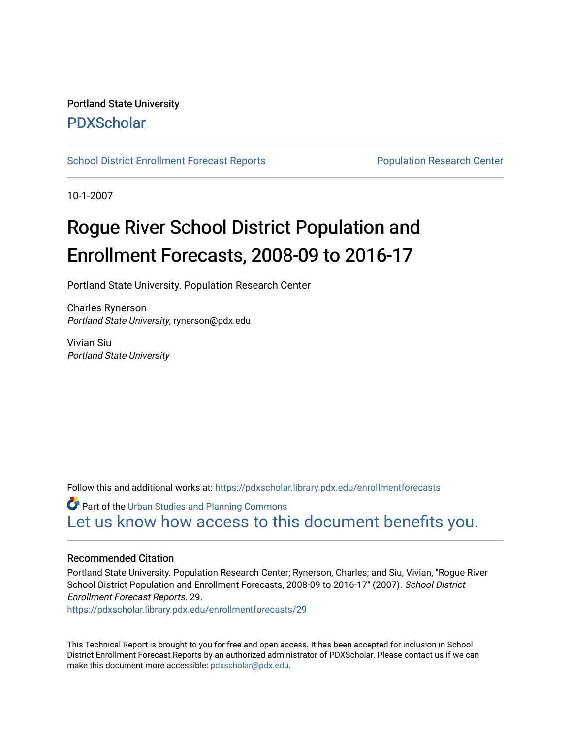### Portland State University [PDXScholar](https://pdxscholar.library.pdx.edu/)

[School District Enrollment Forecast Reports](https://pdxscholar.library.pdx.edu/enrollmentforecasts) **Population Research Center** Population Research Center

10-1-2007

# Rogue River School District Population and Enrollment Forecasts, 2008-09 to 2016-17

Portland State University. Population Research Center

Charles Rynerson Portland State University, rynerson@pdx.edu

Vivian Siu Portland State University

Follow this and additional works at: [https://pdxscholar.library.pdx.edu/enrollmentforecasts](https://pdxscholar.library.pdx.edu/enrollmentforecasts?utm_source=pdxscholar.library.pdx.edu%2Fenrollmentforecasts%2F29&utm_medium=PDF&utm_campaign=PDFCoverPages) 

**Part of the [Urban Studies and Planning Commons](http://network.bepress.com/hgg/discipline/436?utm_source=pdxscholar.library.pdx.edu%2Fenrollmentforecasts%2F29&utm_medium=PDF&utm_campaign=PDFCoverPages)** [Let us know how access to this document benefits you.](http://library.pdx.edu/services/pdxscholar-services/pdxscholar-feedback/?ref=https://pdxscholar.library.pdx.edu/enrollmentforecasts/29) 

#### Recommended Citation

Portland State University. Population Research Center; Rynerson, Charles; and Siu, Vivian, "Rogue River School District Population and Enrollment Forecasts, 2008-09 to 2016-17" (2007). School District Enrollment Forecast Reports. 29.

[https://pdxscholar.library.pdx.edu/enrollmentforecasts/29](https://pdxscholar.library.pdx.edu/enrollmentforecasts/29?utm_source=pdxscholar.library.pdx.edu%2Fenrollmentforecasts%2F29&utm_medium=PDF&utm_campaign=PDFCoverPages)

This Technical Report is brought to you for free and open access. It has been accepted for inclusion in School District Enrollment Forecast Reports by an authorized administrator of PDXScholar. Please contact us if we can make this document more accessible: [pdxscholar@pdx.edu.](mailto:pdxscholar@pdx.edu)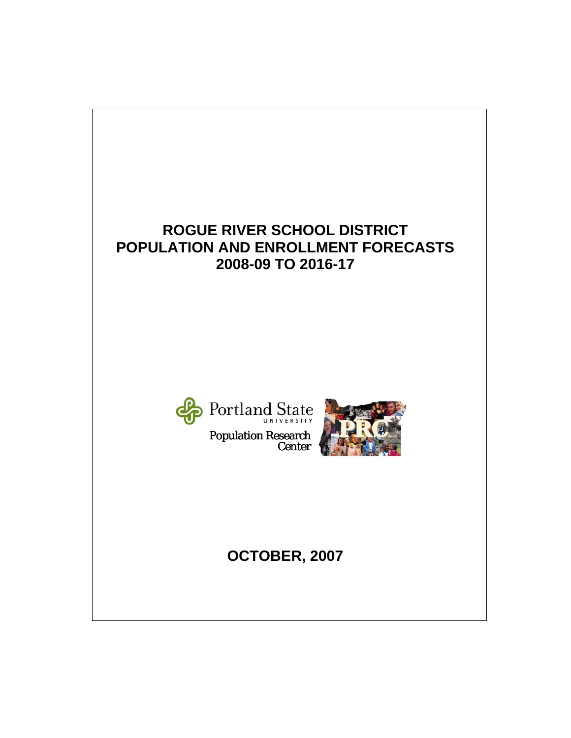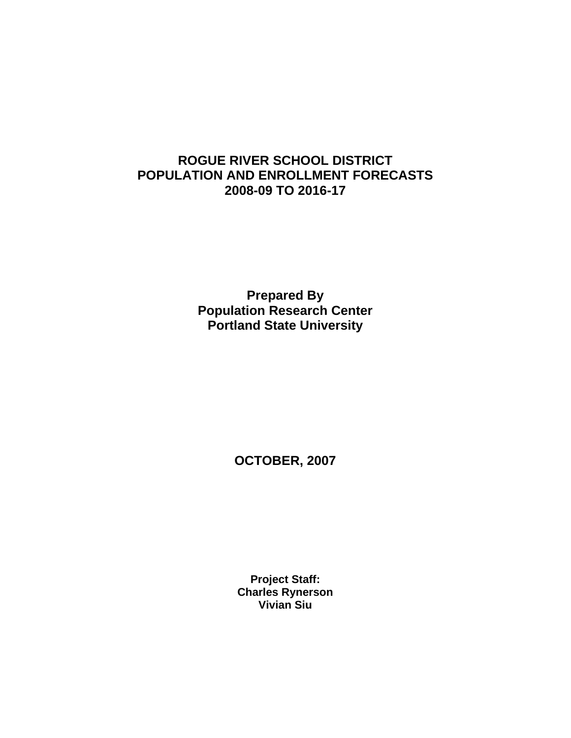### **ROGUE RIVER SCHOOL DISTRICT POPULATION AND ENROLLMENT FORECASTS 2008-09 TO 2016-17**

**Prepared By Population Research Center Portland State University** 

**OCTOBER, 2007** 

**Project Staff: Charles Rynerson Vivian Siu**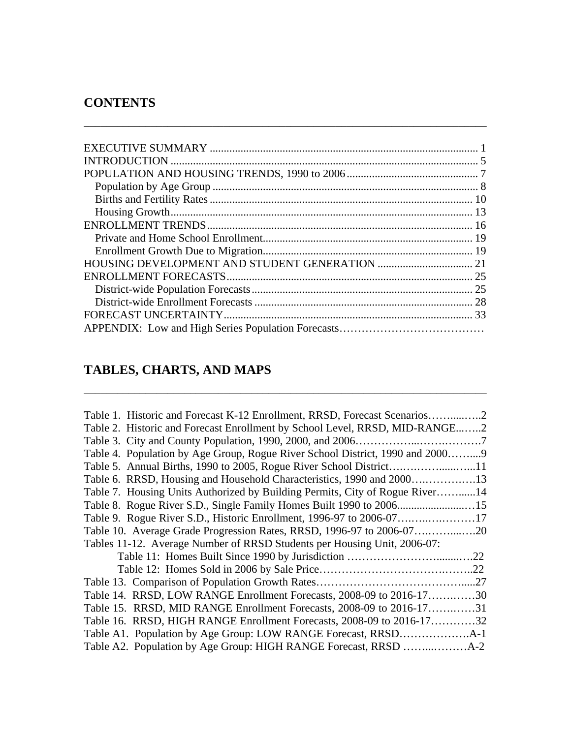## **CONTENTS**

\_\_\_\_\_\_\_\_\_\_\_\_\_\_\_\_\_\_\_\_\_\_\_\_\_\_\_\_\_\_\_\_\_\_\_\_\_\_\_\_\_\_\_\_\_\_\_\_\_\_\_\_\_\_\_\_\_\_\_\_\_\_\_\_\_\_\_\_\_\_\_\_

# **TABLES, CHARTS, AND MAPS**

| Table 1. Historic and Forecast K-12 Enrollment, RRSD, Forecast Scenarios2     |     |
|-------------------------------------------------------------------------------|-----|
| Table 2. Historic and Forecast Enrollment by School Level, RRSD, MID-RANGE2   |     |
|                                                                               |     |
| Table 4. Population by Age Group, Rogue River School District, 1990 and 20009 |     |
|                                                                               |     |
|                                                                               |     |
| Table 7. Housing Units Authorized by Building Permits, City of Rogue River14  |     |
|                                                                               |     |
|                                                                               |     |
|                                                                               |     |
| Tables 11-12. Average Number of RRSD Students per Housing Unit, 2006-07:      |     |
|                                                                               | .22 |
|                                                                               | .22 |
|                                                                               |     |
| Table 14. RRSD, LOW RANGE Enrollment Forecasts, 2008-09 to 2016-1730          |     |
| Table 15. RRSD, MID RANGE Enrollment Forecasts, 2008-09 to 2016-1731          |     |
| Table 16. RRSD, HIGH RANGE Enrollment Forecasts, 2008-09 to 2016-1732         |     |
|                                                                               |     |
|                                                                               |     |

\_\_\_\_\_\_\_\_\_\_\_\_\_\_\_\_\_\_\_\_\_\_\_\_\_\_\_\_\_\_\_\_\_\_\_\_\_\_\_\_\_\_\_\_\_\_\_\_\_\_\_\_\_\_\_\_\_\_\_\_\_\_\_\_\_\_\_\_\_\_\_\_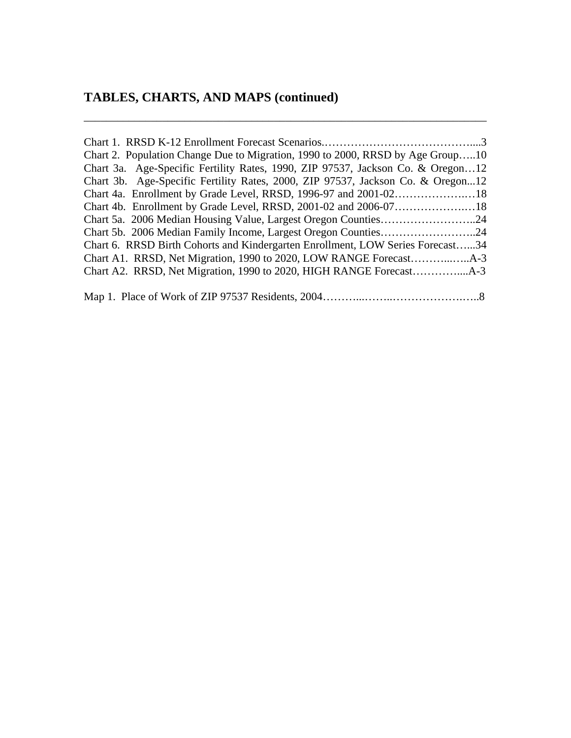| Chart 2. Population Change Due to Migration, 1990 to 2000, RRSD by Age Group10  |
|---------------------------------------------------------------------------------|
| Chart 3a. Age-Specific Fertility Rates, 1990, ZIP 97537, Jackson Co. & Oregon12 |
| Chart 3b. Age-Specific Fertility Rates, 2000, ZIP 97537, Jackson Co. & Oregon12 |
|                                                                                 |
|                                                                                 |
|                                                                                 |
|                                                                                 |
| Chart 6. RRSD Birth Cohorts and Kindergarten Enrollment, LOW Series Forecast34  |
|                                                                                 |
|                                                                                 |
|                                                                                 |

\_\_\_\_\_\_\_\_\_\_\_\_\_\_\_\_\_\_\_\_\_\_\_\_\_\_\_\_\_\_\_\_\_\_\_\_\_\_\_\_\_\_\_\_\_\_\_\_\_\_\_\_\_\_\_\_\_\_\_\_\_\_\_\_\_\_\_\_\_\_\_\_

|--|--|--|--|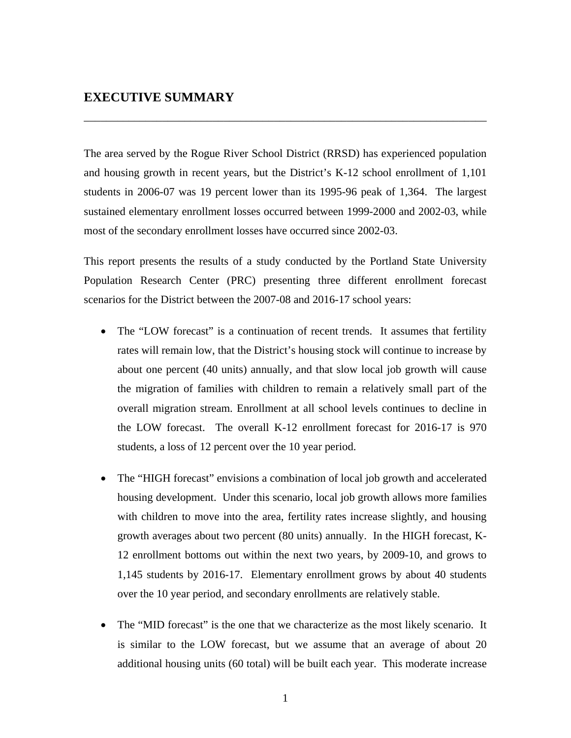#### **EXECUTIVE SUMMARY**

The area served by the Rogue River School District (RRSD) has experienced population and housing growth in recent years, but the District's K-12 school enrollment of 1,101 students in 2006-07 was 19 percent lower than its 1995-96 peak of 1,364. The largest sustained elementary enrollment losses occurred between 1999-2000 and 2002-03, while most of the secondary enrollment losses have occurred since 2002-03.

\_\_\_\_\_\_\_\_\_\_\_\_\_\_\_\_\_\_\_\_\_\_\_\_\_\_\_\_\_\_\_\_\_\_\_\_\_\_\_\_\_\_\_\_\_\_\_\_\_\_\_\_\_\_\_\_\_\_\_\_\_\_\_\_\_\_\_\_\_\_\_\_

This report presents the results of a study conducted by the Portland State University Population Research Center (PRC) presenting three different enrollment forecast scenarios for the District between the 2007-08 and 2016-17 school years:

- The "LOW forecast" is a continuation of recent trends. It assumes that fertility rates will remain low, that the District's housing stock will continue to increase by about one percent (40 units) annually, and that slow local job growth will cause the migration of families with children to remain a relatively small part of the overall migration stream. Enrollment at all school levels continues to decline in the LOW forecast. The overall K-12 enrollment forecast for 2016-17 is 970 students, a loss of 12 percent over the 10 year period.
- The "HIGH forecast" envisions a combination of local job growth and accelerated housing development. Under this scenario, local job growth allows more families with children to move into the area, fertility rates increase slightly, and housing growth averages about two percent (80 units) annually. In the HIGH forecast, K-12 enrollment bottoms out within the next two years, by 2009-10, and grows to 1,145 students by 2016-17. Elementary enrollment grows by about 40 students over the 10 year period, and secondary enrollments are relatively stable.
- The "MID forecast" is the one that we characterize as the most likely scenario. It is similar to the LOW forecast, but we assume that an average of about 20 additional housing units (60 total) will be built each year. This moderate increase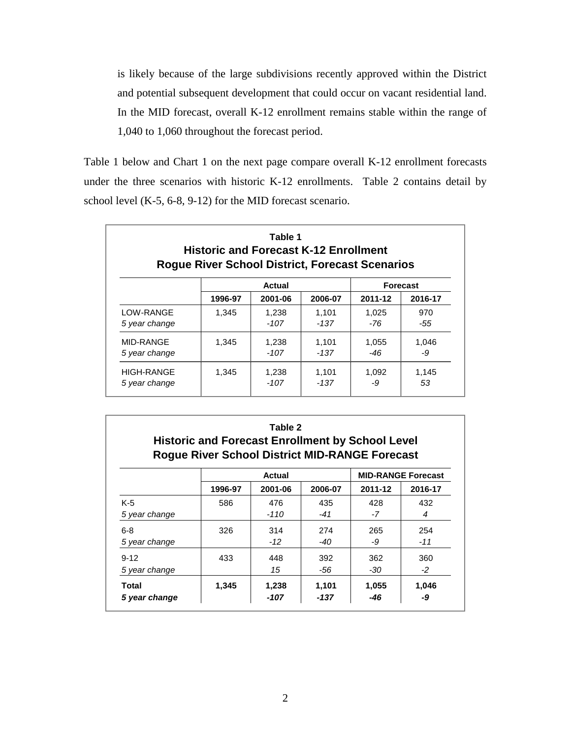is likely because of the large subdivisions recently approved within the District and potential subsequent development that could occur on vacant residential land. In the MID forecast, overall K-12 enrollment remains stable within the range of 1,040 to 1,060 throughout the forecast period.

Table 1 below and Chart 1 on the next page compare overall K-12 enrollment forecasts under the three scenarios with historic K-12 enrollments. Table 2 contains detail by school level (K-5, 6-8, 9-12) for the MID forecast scenario.

| Table 1<br><b>Historic and Forecast K-12 Enrollment</b><br><b>Rogue River School District, Forecast Scenarios</b> |         |         |         |         |                 |  |  |  |  |
|-------------------------------------------------------------------------------------------------------------------|---------|---------|---------|---------|-----------------|--|--|--|--|
|                                                                                                                   |         | Actual  |         |         | <b>Forecast</b> |  |  |  |  |
|                                                                                                                   | 1996-97 | 2001-06 | 2006-07 | 2011-12 | 2016-17         |  |  |  |  |
| LOW-RANGE                                                                                                         | 1.345   | 1,238   | 1.101   | 1.025   | 970             |  |  |  |  |
| 5 year change                                                                                                     |         | -107    | -137    | -76     | -55             |  |  |  |  |
| MID-RANGE                                                                                                         | 1.345   | 1,238   | 1,101   | 1,055   | 1.046           |  |  |  |  |
| 5 year change                                                                                                     |         | -107    | -137    | -46     | -9              |  |  |  |  |
| HIGH-RANGE                                                                                                        | 1.345   | 1,238   | 1.101   | 1.092   | 1.145           |  |  |  |  |
| 5 year change                                                                                                     |         | -107    | -137    | -9      | 53              |  |  |  |  |

| Table 2<br><b>Historic and Forecast Enrollment by School Level</b><br><b>Rogue River School District MID-RANGE Forecast</b> |         |         |         |         |                           |  |  |  |  |
|-----------------------------------------------------------------------------------------------------------------------------|---------|---------|---------|---------|---------------------------|--|--|--|--|
|                                                                                                                             |         | Actual  |         |         | <b>MID-RANGE Forecast</b> |  |  |  |  |
|                                                                                                                             | 1996-97 | 2001-06 | 2006-07 | 2011-12 | 2016-17                   |  |  |  |  |
| $K-5$                                                                                                                       | 586     | 476     | 435     | 428     | 432                       |  |  |  |  |
| 5 year change                                                                                                               |         | $-110$  | $-41$   | -7      | 4                         |  |  |  |  |
| $6 - 8$                                                                                                                     | 326     | 314     | 274     | 265     | 254                       |  |  |  |  |
| 5 year change                                                                                                               |         | $-12$   | -40     | -9      | $-11$                     |  |  |  |  |
| $9 - 12$                                                                                                                    | 433     | 448     | 392     | 362     | 360                       |  |  |  |  |
| 5 year change                                                                                                               |         | 15      | -56     | -30     | -2                        |  |  |  |  |
| Total                                                                                                                       | 1,345   | 1,238   | 1,101   | 1,055   | 1,046                     |  |  |  |  |
| 5 year change                                                                                                               |         | -107    | -137    | -46     | -9                        |  |  |  |  |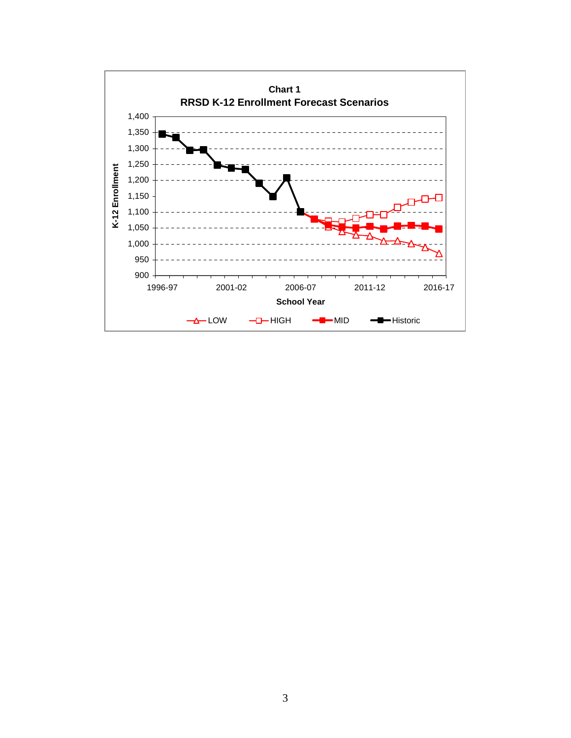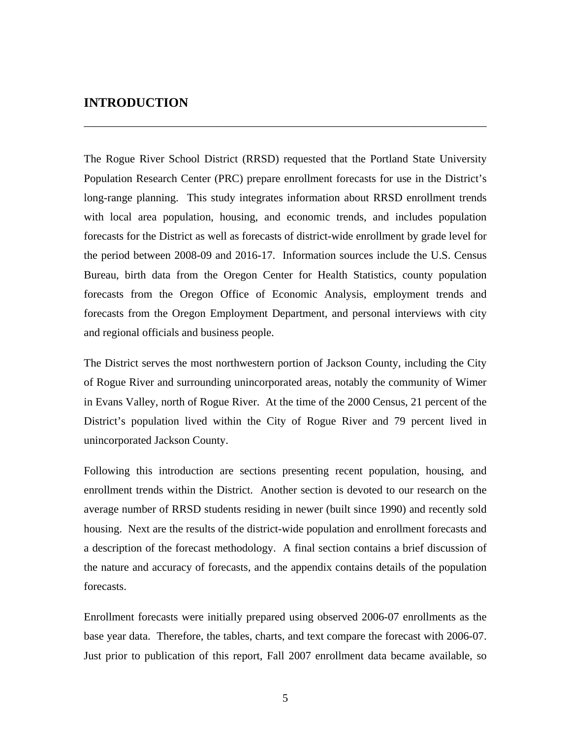#### **INTRODUCTION**

The Rogue River School District (RRSD) requested that the Portland State University Population Research Center (PRC) prepare enrollment forecasts for use in the District's long-range planning. This study integrates information about RRSD enrollment trends with local area population, housing, and economic trends, and includes population forecasts for the District as well as forecasts of district-wide enrollment by grade level for the period between 2008-09 and 2016-17. Information sources include the U.S. Census Bureau, birth data from the Oregon Center for Health Statistics, county population forecasts from the Oregon Office of Economic Analysis, employment trends and forecasts from the Oregon Employment Department, and personal interviews with city and regional officials and business people.

\_\_\_\_\_\_\_\_\_\_\_\_\_\_\_\_\_\_\_\_\_\_\_\_\_\_\_\_\_\_\_\_\_\_\_\_\_\_\_\_\_\_\_\_\_\_\_\_\_\_\_\_\_\_\_\_\_\_\_\_\_\_\_\_\_\_\_\_\_\_\_\_

The District serves the most northwestern portion of Jackson County, including the City of Rogue River and surrounding unincorporated areas, notably the community of Wimer in Evans Valley, north of Rogue River. At the time of the 2000 Census, 21 percent of the District's population lived within the City of Rogue River and 79 percent lived in unincorporated Jackson County.

Following this introduction are sections presenting recent population, housing, and enrollment trends within the District. Another section is devoted to our research on the average number of RRSD students residing in newer (built since 1990) and recently sold housing. Next are the results of the district-wide population and enrollment forecasts and a description of the forecast methodology. A final section contains a brief discussion of the nature and accuracy of forecasts, and the appendix contains details of the population forecasts.

Enrollment forecasts were initially prepared using observed 2006-07 enrollments as the base year data. Therefore, the tables, charts, and text compare the forecast with 2006-07. Just prior to publication of this report, Fall 2007 enrollment data became available, so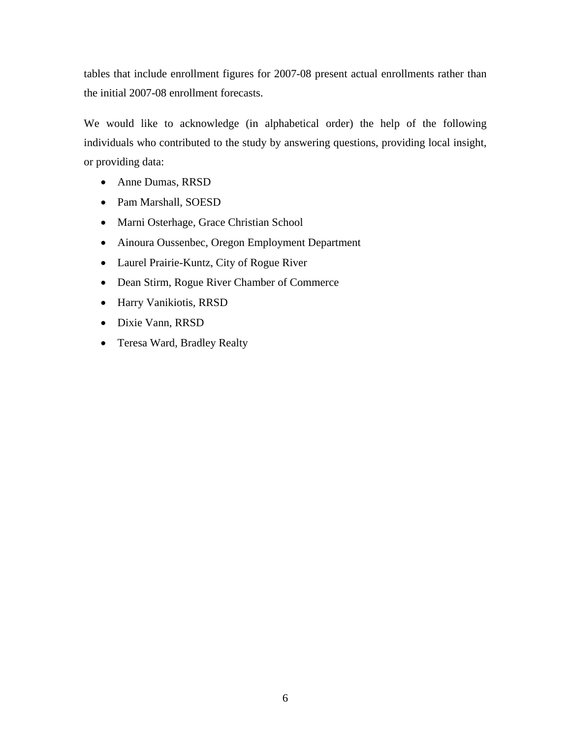tables that include enrollment figures for 2007-08 present actual enrollments rather than the initial 2007-08 enrollment forecasts.

We would like to acknowledge (in alphabetical order) the help of the following individuals who contributed to the study by answering questions, providing local insight, or providing data:

- Anne Dumas, RRSD
- Pam Marshall, SOESD
- Marni Osterhage, Grace Christian School
- Ainoura Oussenbec, Oregon Employment Department
- Laurel Prairie-Kuntz, City of Rogue River
- Dean Stirm, Rogue River Chamber of Commerce
- Harry Vanikiotis, RRSD
- Dixie Vann, RRSD
- Teresa Ward, Bradley Realty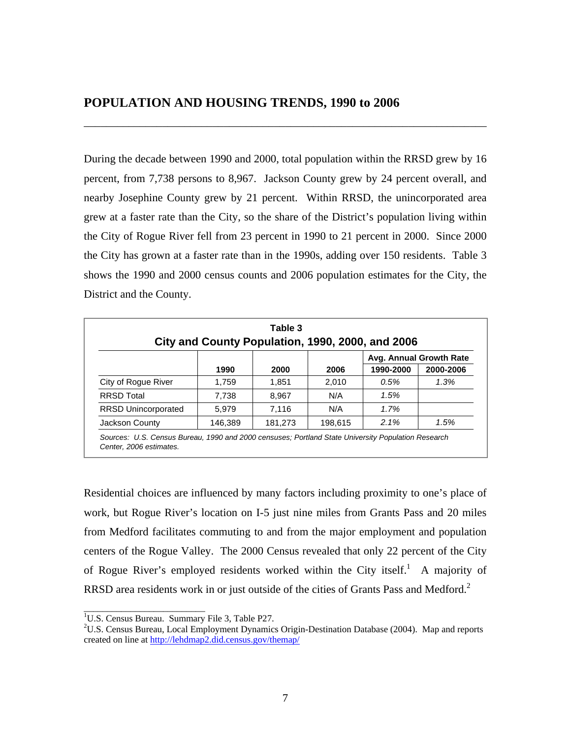During the decade between 1990 and 2000, total population within the RRSD grew by 16 percent, from 7,738 persons to 8,967. Jackson County grew by 24 percent overall, and nearby Josephine County grew by 21 percent. Within RRSD, the unincorporated area grew at a faster rate than the City, so the share of the District's population living within the City of Rogue River fell from 23 percent in 1990 to 21 percent in 2000. Since 2000 the City has grown at a faster rate than in the 1990s, adding over 150 residents. Table 3 shows the 1990 and 2000 census counts and 2006 population estimates for the City, the District and the County.

\_\_\_\_\_\_\_\_\_\_\_\_\_\_\_\_\_\_\_\_\_\_\_\_\_\_\_\_\_\_\_\_\_\_\_\_\_\_\_\_\_\_\_\_\_\_\_\_\_\_\_\_\_\_\_\_\_\_\_\_\_\_\_\_\_\_\_\_\_\_\_\_

| Table 3<br>City and County Population, 1990, 2000, and 2006 |                         |         |         |           |           |  |  |  |  |  |
|-------------------------------------------------------------|-------------------------|---------|---------|-----------|-----------|--|--|--|--|--|
|                                                             | Avg. Annual Growth Rate |         |         |           |           |  |  |  |  |  |
|                                                             | 1990                    | 2000    | 2006    | 1990-2000 | 2000-2006 |  |  |  |  |  |
| City of Rogue River                                         | 1,759                   | 1.851   | 2.010   | 0.5%      | $1.3\%$   |  |  |  |  |  |
| <b>RRSD Total</b>                                           | 7,738                   | 8.967   | N/A     | 1.5%      |           |  |  |  |  |  |
| <b>RRSD Unincorporated</b>                                  | 5.979                   | 7.116   | N/A     | 1.7%      |           |  |  |  |  |  |
| Jackson County                                              | 146,389                 | 181,273 | 198,615 | 2.1%      | 1.5%      |  |  |  |  |  |

*Sources: U.S. Census Bureau, 1990 and 2000 censuses; Portland State University Population Research Center, 2006 estimates.*

Residential choices are influenced by many factors including proximity to one's place of work, but Rogue River's location on I-5 just nine miles from Grants Pass and 20 miles from Medford facilitates commuting to and from the major employment and population centers of the Rogue Valley. The 2000 Census revealed that only 22 percent of the City of Rogue River's employed residents worked within the City itself.<sup>1</sup> A majority of RRSD area residents work in or just outside of the cities of Grants Pass and Medford.<sup>2</sup>

\_\_\_\_\_\_\_\_\_\_\_\_\_\_\_\_\_\_\_\_\_\_\_\_\_\_

<sup>&</sup>lt;sup>1</sup>U.S. Census Bureau. Summary File 3, Table P27.

<sup>&</sup>lt;sup>2</sup>U.S. Census Bureau, Local Employment Dynamics Origin-Destination Database (2004). Map and reports created on line at http://lehdmap2.did.census.gov/themap/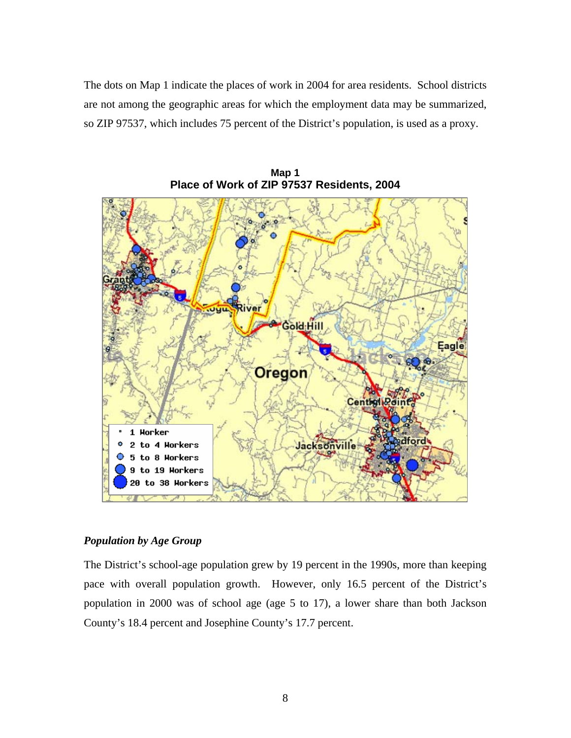The dots on Map 1 indicate the places of work in 2004 for area residents. School districts are not among the geographic areas for which the employment data may be summarized, so ZIP 97537, which includes 75 percent of the District's population, is used as a proxy.



**Map 1 Place of Work of ZIP 97537 Residents, 2004** 

#### *Population by Age Group*

The District's school-age population grew by 19 percent in the 1990s, more than keeping pace with overall population growth. However, only 16.5 percent of the District's population in 2000 was of school age (age 5 to 17), a lower share than both Jackson County's 18.4 percent and Josephine County's 17.7 percent.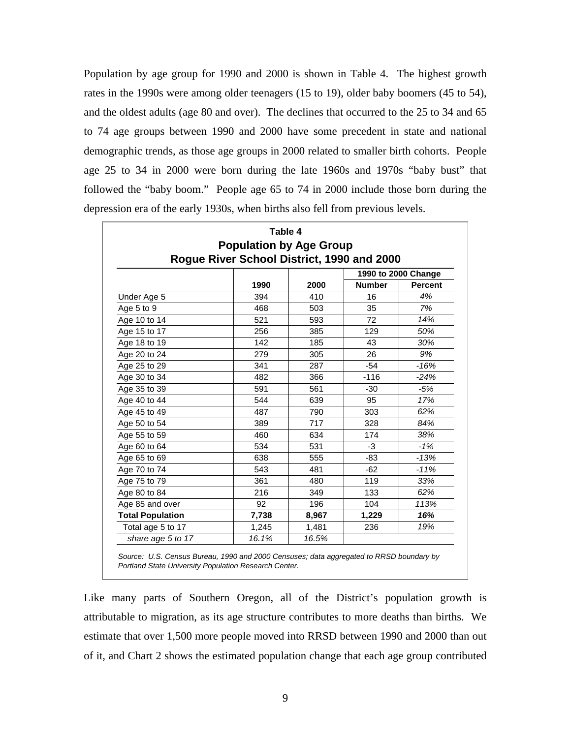Population by age group for 1990 and 2000 is shown in Table 4. The highest growth rates in the 1990s were among older teenagers (15 to 19), older baby boomers (45 to 54), and the oldest adults (age 80 and over). The declines that occurred to the 25 to 34 and 65 to 74 age groups between 1990 and 2000 have some precedent in state and national demographic trends, as those age groups in 2000 related to smaller birth cohorts. People age 25 to 34 in 2000 were born during the late 1960s and 1970s "baby bust" that followed the "baby boom." People age 65 to 74 in 2000 include those born during the depression era of the early 1930s, when births also fell from previous levels.

| Table 4                 |                                                                              |       |               |                |  |  |  |  |  |
|-------------------------|------------------------------------------------------------------------------|-------|---------------|----------------|--|--|--|--|--|
|                         | <b>Population by Age Group</b><br>Rogue River School District, 1990 and 2000 |       |               |                |  |  |  |  |  |
| 1990 to 2000 Change     |                                                                              |       |               |                |  |  |  |  |  |
|                         | 1990                                                                         | 2000  | <b>Number</b> | <b>Percent</b> |  |  |  |  |  |
| Under Age 5             | 394                                                                          | 410   | 16            | 4%             |  |  |  |  |  |
| Age 5 to 9              | 468                                                                          | 503   | 35            | 7%             |  |  |  |  |  |
| Age 10 to 14            | 521                                                                          | 593   | 72            | 14%            |  |  |  |  |  |
| Age 15 to 17            | 256                                                                          | 385   | 129           | 50%            |  |  |  |  |  |
| Age 18 to 19            | 142                                                                          | 185   | 43            | 30%            |  |  |  |  |  |
| Age 20 to 24            | 279                                                                          | 305   | 26            | 9%             |  |  |  |  |  |
| Age 25 to 29            | 341                                                                          | 287   | $-54$         | $-16%$         |  |  |  |  |  |
| Age 30 to 34            | 482                                                                          | 366   | $-116$        | $-24%$         |  |  |  |  |  |
| Age 35 to 39            | 591                                                                          | 561   | $-30$         | $-5%$          |  |  |  |  |  |
| Age 40 to 44            | 544                                                                          | 639   | 95            | 17%            |  |  |  |  |  |
| Age 45 to 49            | 487                                                                          | 790   | 303           | 62%            |  |  |  |  |  |
| Age 50 to 54            | 389                                                                          | 717   | 328           | 84%            |  |  |  |  |  |
| Age 55 to 59            | 460                                                                          | 634   | 174           | 38%            |  |  |  |  |  |
| Age 60 to 64            | 534                                                                          | 531   | $-3$          | $-1%$          |  |  |  |  |  |
| Age 65 to 69            | 638                                                                          | 555   | $-83$         | $-13%$         |  |  |  |  |  |
| Age 70 to 74            | 543                                                                          | 481   | $-62$         | $-11%$         |  |  |  |  |  |
| Age 75 to 79            | 361                                                                          | 480   | 119           | 33%            |  |  |  |  |  |
| Age 80 to 84            | 216                                                                          | 349   | 133           | 62%            |  |  |  |  |  |
| Age 85 and over         | 92                                                                           | 196   | 104           | 113%           |  |  |  |  |  |
| <b>Total Population</b> | 7,738                                                                        | 8,967 | 1,229         | 16%            |  |  |  |  |  |
| Total age 5 to 17       | 1,245                                                                        | 1,481 | 236           | 19%            |  |  |  |  |  |
| share age 5 to 17       | 16.1%                                                                        | 16.5% |               |                |  |  |  |  |  |

*Source: U.S. Census Bureau, 1990 and 2000 Censuses; data aggregated to RRSD boundary by Portland State University Population Research Center.*

Like many parts of Southern Oregon, all of the District's population growth is attributable to migration, as its age structure contributes to more deaths than births. We estimate that over 1,500 more people moved into RRSD between 1990 and 2000 than out of it, and Chart 2 shows the estimated population change that each age group contributed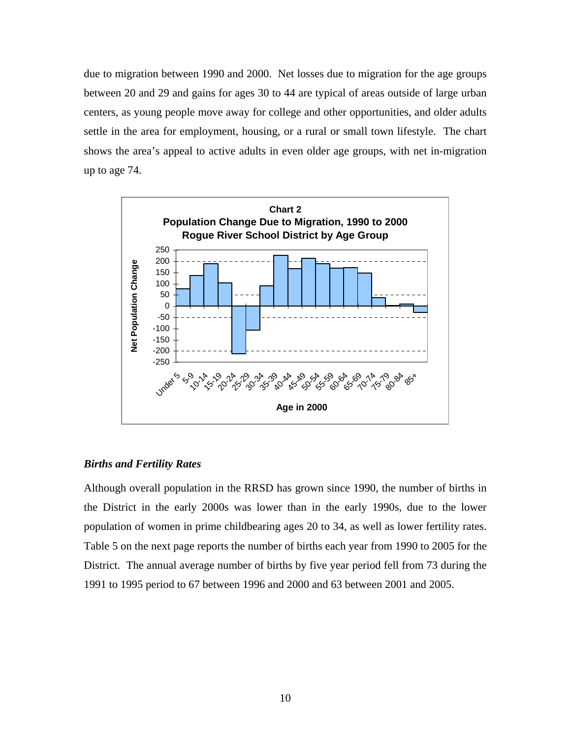due to migration between 1990 and 2000. Net losses due to migration for the age groups between 20 and 29 and gains for ages 30 to 44 are typical of areas outside of large urban centers, as young people move away for college and other opportunities, and older adults settle in the area for employment, housing, or a rural or small town lifestyle. The chart shows the area's appeal to active adults in even older age groups, with net in-migration up to age 74.



#### *Births and Fertility Rates*

Although overall population in the RRSD has grown since 1990, the number of births in the District in the early 2000s was lower than in the early 1990s, due to the lower population of women in prime childbearing ages 20 to 34, as well as lower fertility rates. Table 5 on the next page reports the number of births each year from 1990 to 2005 for the District. The annual average number of births by five year period fell from 73 during the 1991 to 1995 period to 67 between 1996 and 2000 and 63 between 2001 and 2005.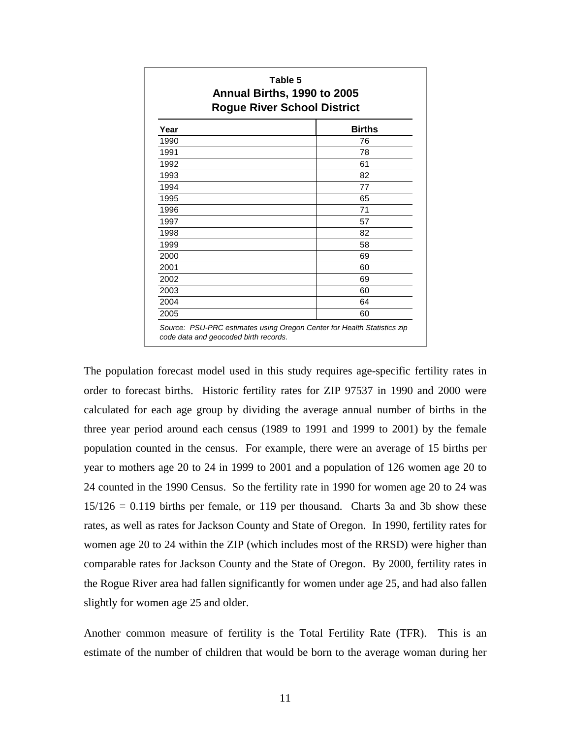| Table 5<br>Annual Births, 1990 to 2005<br><b>Rogue River School District</b> |               |  |  |  |  |  |
|------------------------------------------------------------------------------|---------------|--|--|--|--|--|
| Year                                                                         | <b>Births</b> |  |  |  |  |  |
| 1990                                                                         | 76            |  |  |  |  |  |
| 1991                                                                         | 78            |  |  |  |  |  |
| 1992                                                                         | 61            |  |  |  |  |  |
| 1993                                                                         | 82            |  |  |  |  |  |
| 1994                                                                         | 77            |  |  |  |  |  |
| 1995                                                                         | 65            |  |  |  |  |  |
| 1996                                                                         | 71            |  |  |  |  |  |
| 1997                                                                         | 57            |  |  |  |  |  |
| 1998                                                                         | 82            |  |  |  |  |  |
| 1999                                                                         | 58            |  |  |  |  |  |
| 2000                                                                         | 69            |  |  |  |  |  |
| 2001                                                                         | 60            |  |  |  |  |  |
| 2002                                                                         | 69            |  |  |  |  |  |
| 2003                                                                         | 60            |  |  |  |  |  |
| 2004                                                                         | 64            |  |  |  |  |  |
| 2005                                                                         | 60            |  |  |  |  |  |

The population forecast model used in this study requires age-specific fertility rates in order to forecast births. Historic fertility rates for ZIP 97537 in 1990 and 2000 were calculated for each age group by dividing the average annual number of births in the three year period around each census (1989 to 1991 and 1999 to 2001) by the female population counted in the census. For example, there were an average of 15 births per year to mothers age 20 to 24 in 1999 to 2001 and a population of 126 women age 20 to 24 counted in the 1990 Census. So the fertility rate in 1990 for women age 20 to 24 was  $15/126 = 0.119$  births per female, or 119 per thousand. Charts 3a and 3b show these rates, as well as rates for Jackson County and State of Oregon. In 1990, fertility rates for women age 20 to 24 within the ZIP (which includes most of the RRSD) were higher than comparable rates for Jackson County and the State of Oregon. By 2000, fertility rates in the Rogue River area had fallen significantly for women under age 25, and had also fallen slightly for women age 25 and older.

Another common measure of fertility is the Total Fertility Rate (TFR). This is an estimate of the number of children that would be born to the average woman during her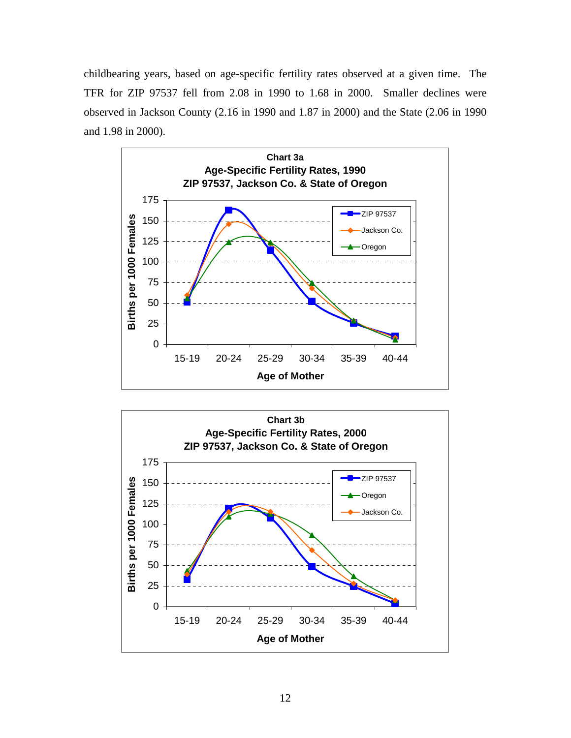childbearing years, based on age-specific fertility rates observed at a given time. The TFR for ZIP 97537 fell from 2.08 in 1990 to 1.68 in 2000. Smaller declines were observed in Jackson County (2.16 in 1990 and 1.87 in 2000) and the State (2.06 in 1990 and 1.98 in 2000).



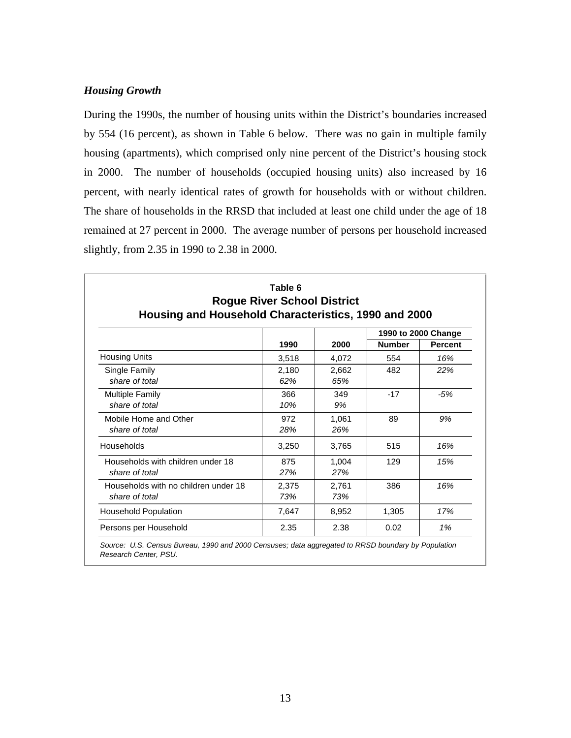#### *Housing Growth*

During the 1990s, the number of housing units within the District's boundaries increased by 554 (16 percent), as shown in Table 6 below. There was no gain in multiple family housing (apartments), which comprised only nine percent of the District's housing stock in 2000. The number of households (occupied housing units) also increased by 16 percent, with nearly identical rates of growth for households with or without children. The share of households in the RRSD that included at least one child under the age of 18 remained at 27 percent in 2000. The average number of persons per household increased slightly, from 2.35 in 1990 to 2.38 in 2000.

|                                      |       |       |               | 1990 to 2000 Change |
|--------------------------------------|-------|-------|---------------|---------------------|
|                                      | 1990  | 2000  | <b>Number</b> | <b>Percent</b>      |
| <b>Housing Units</b>                 | 3,518 | 4,072 | 554           | 16%                 |
| Single Family                        | 2,180 | 2.662 | 482           | 22%                 |
| share of total                       | 62%   | 65%   |               |                     |
| <b>Multiple Family</b>               | 366   | 349   | $-17$         | $-5%$               |
| share of total                       | 10%   | 9%    |               |                     |
| Mobile Home and Other                | 972   | 1,061 | 89            | 9%                  |
| share of total                       | 28%   | 26%   |               |                     |
| Households                           | 3,250 | 3,765 | 515           | 16%                 |
| Households with children under 18    | 875   | 1.004 | 129           | 15%                 |
| share of total                       | 27%   | 27%   |               |                     |
| Households with no children under 18 | 2,375 | 2,761 | 386           | 16%                 |
| share of total                       | 73%   | 73%   |               |                     |
| <b>Household Population</b>          | 7,647 | 8,952 | 1,305         | 17%                 |
| Persons per Household                | 2.35  | 2.38  | 0.02          | 1%                  |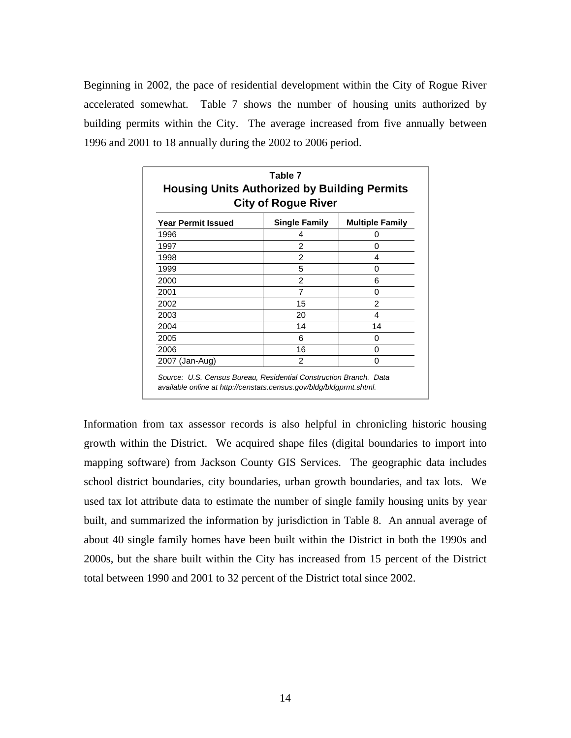Beginning in 2002, the pace of residential development within the City of Rogue River accelerated somewhat. Table 7 shows the number of housing units authorized by building permits within the City. The average increased from five annually between 1996 and 2001 to 18 annually during the 2002 to 2006 period.

| Table 7<br><b>Housing Units Authorized by Building Permits</b><br><b>City of Rogue River</b> |                        |  |  |  |  |  |
|----------------------------------------------------------------------------------------------|------------------------|--|--|--|--|--|
| <b>Single Family</b>                                                                         | <b>Multiple Family</b> |  |  |  |  |  |
| 4                                                                                            | 0                      |  |  |  |  |  |
| 2                                                                                            | Ω                      |  |  |  |  |  |
| $\overline{c}$                                                                               | 4                      |  |  |  |  |  |
| 5                                                                                            | 0                      |  |  |  |  |  |
| 2                                                                                            | 6                      |  |  |  |  |  |
| 7                                                                                            | 0                      |  |  |  |  |  |
| 15                                                                                           | 2                      |  |  |  |  |  |
| 20                                                                                           | 4                      |  |  |  |  |  |
| 14                                                                                           | 14                     |  |  |  |  |  |
| 6                                                                                            | O                      |  |  |  |  |  |
| 16                                                                                           | O                      |  |  |  |  |  |
| 2                                                                                            | 0                      |  |  |  |  |  |
|                                                                                              |                        |  |  |  |  |  |

Information from tax assessor records is also helpful in chronicling historic housing growth within the District. We acquired shape files (digital boundaries to import into mapping software) from Jackson County GIS Services. The geographic data includes school district boundaries, city boundaries, urban growth boundaries, and tax lots. We used tax lot attribute data to estimate the number of single family housing units by year built, and summarized the information by jurisdiction in Table 8. An annual average of about 40 single family homes have been built within the District in both the 1990s and 2000s, but the share built within the City has increased from 15 percent of the District total between 1990 and 2001 to 32 percent of the District total since 2002.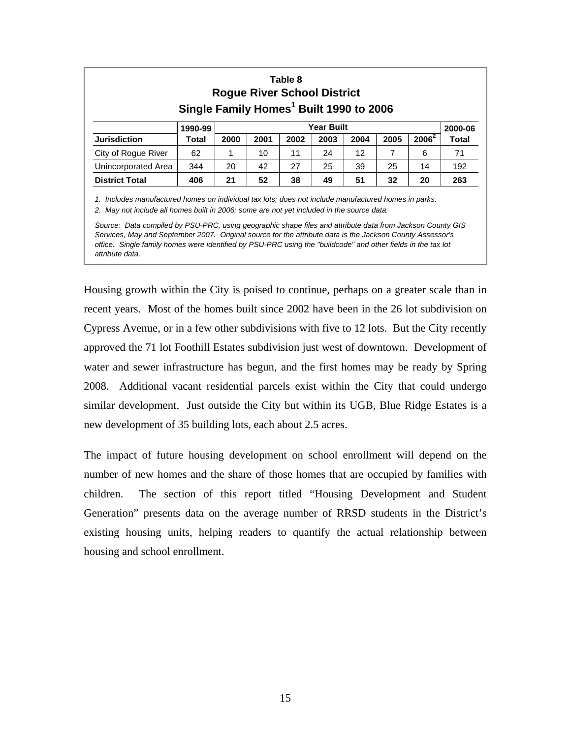| Table 8<br><b>Rogue River School District</b><br>Single Family Homes <sup>1</sup> Built 1990 to 2006 |                       |      |      |      |      |      |      |          |              |
|------------------------------------------------------------------------------------------------------|-----------------------|------|------|------|------|------|------|----------|--------------|
|                                                                                                      | Year Built<br>1990-99 |      |      |      |      |      |      |          | 2000-06      |
| <b>Jurisdiction</b>                                                                                  | Total                 | 2000 | 2001 | 2002 | 2003 | 2004 | 2005 | $2006^2$ | <b>Total</b> |
| City of Rogue River                                                                                  | 62                    |      | 10   | 11   | 24   | 12   | 7    | 6        | 71           |
| Unincorporated Area                                                                                  | 344                   | 20   | 42   | 27   | 25   | 39   | 25   | 14       | 192          |
| <b>District Total</b>                                                                                | 406                   | 21   | 52   | 38   | 49   | 51   | 32   | 20       | 263          |

*1. Includes manufactured homes on individual tax lots; does not include manufactured homes in parks.*

*2. May not include all homes built in 2006; some are not yet included in the source data.*

*Source: Data compiled by PSU-PRC, using geographic shape files and attribute data from Jackson County GIS Services, May and September 2007. Original source for the attribute data is the Jackson County Assessor's office. Single family homes were identified by PSU-PRC using the "buildcode" and other fields in the tax lot attribute data.*

Housing growth within the City is poised to continue, perhaps on a greater scale than in recent years. Most of the homes built since 2002 have been in the 26 lot subdivision on Cypress Avenue, or in a few other subdivisions with five to 12 lots. But the City recently approved the 71 lot Foothill Estates subdivision just west of downtown. Development of water and sewer infrastructure has begun, and the first homes may be ready by Spring 2008. Additional vacant residential parcels exist within the City that could undergo similar development. Just outside the City but within its UGB, Blue Ridge Estates is a new development of 35 building lots, each about 2.5 acres.

The impact of future housing development on school enrollment will depend on the number of new homes and the share of those homes that are occupied by families with children. The section of this report titled "Housing Development and Student Generation" presents data on the average number of RRSD students in the District's existing housing units, helping readers to quantify the actual relationship between housing and school enrollment.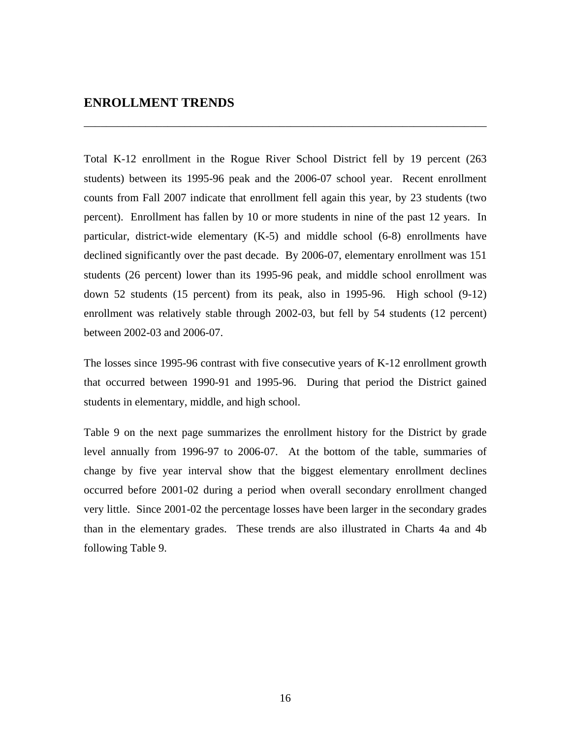#### **ENROLLMENT TRENDS**

Total K-12 enrollment in the Rogue River School District fell by 19 percent (263 students) between its 1995-96 peak and the 2006-07 school year. Recent enrollment counts from Fall 2007 indicate that enrollment fell again this year, by 23 students (two percent). Enrollment has fallen by 10 or more students in nine of the past 12 years. In particular, district-wide elementary (K-5) and middle school (6-8) enrollments have declined significantly over the past decade. By 2006-07, elementary enrollment was 151 students (26 percent) lower than its 1995-96 peak, and middle school enrollment was down 52 students (15 percent) from its peak, also in 1995-96. High school (9-12) enrollment was relatively stable through 2002-03, but fell by 54 students (12 percent) between 2002-03 and 2006-07.

\_\_\_\_\_\_\_\_\_\_\_\_\_\_\_\_\_\_\_\_\_\_\_\_\_\_\_\_\_\_\_\_\_\_\_\_\_\_\_\_\_\_\_\_\_\_\_\_\_\_\_\_\_\_\_\_\_\_\_\_\_\_\_\_\_\_\_\_\_\_\_\_

The losses since 1995-96 contrast with five consecutive years of K-12 enrollment growth that occurred between 1990-91 and 1995-96. During that period the District gained students in elementary, middle, and high school.

Table 9 on the next page summarizes the enrollment history for the District by grade level annually from 1996-97 to 2006-07. At the bottom of the table, summaries of change by five year interval show that the biggest elementary enrollment declines occurred before 2001-02 during a period when overall secondary enrollment changed very little. Since 2001-02 the percentage losses have been larger in the secondary grades than in the elementary grades. These trends are also illustrated in Charts 4a and 4b following Table 9.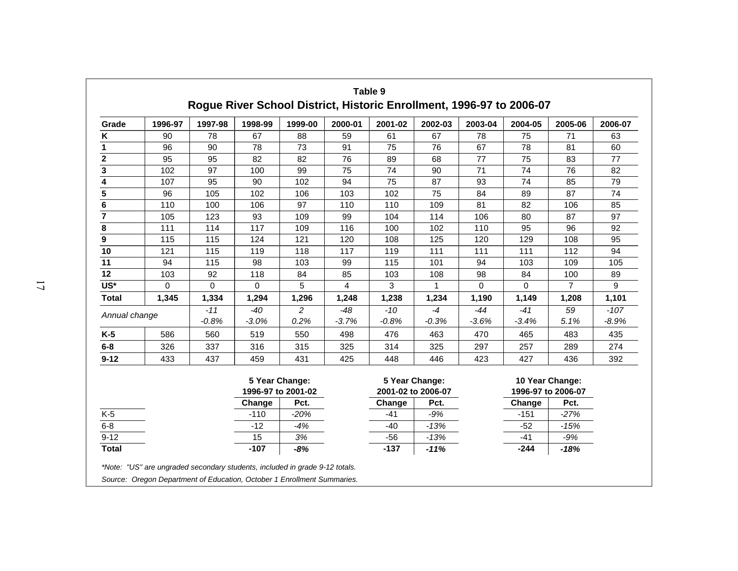| Grade                   | 1996-97     | 1997-98     | 1998-99     | 1999-00                              | 2000-01 | 2001-02 | 2002-03                              | 2003-04     | 2004-05         | 2005-06            | 2006-07 |
|-------------------------|-------------|-------------|-------------|--------------------------------------|---------|---------|--------------------------------------|-------------|-----------------|--------------------|---------|
| $\pmb{\mathsf{K}}$      | 90          | 78          | 67          | 88                                   | 59      | 61      | 67                                   | 78          | 75              | 71                 | 63      |
| 1                       | 96          | 90          | 78          | 73                                   | 91      | 75      | 76                                   | 67          | 78              | 81                 | 60      |
| $\overline{2}$          | 95          | 95          | 82          | 82                                   | 76      | 89      | 68                                   | 77          | 75              | 83                 | 77      |
| $\overline{\mathbf{3}}$ | 102         | 97          | 100         | 99                                   | 75      | 74      | 90                                   | 71          | 74              | 76                 | 82      |
| $\overline{\mathbf{4}}$ | 107         | 95          | 90          | 102                                  | 94      | 75      | 87                                   | 93          | 74              | 85                 | 79      |
| 5                       | 96          | 105         | 102         | 106                                  | 103     | 102     | 75                                   | 84          | 89              | 87                 | 74      |
| 6                       | 110         | 100         | 106         | 97                                   | 110     | 110     | 109                                  | 81          | 82              | 106                | 85      |
|                         | 105         | 123         | 93          | 109                                  | 99      | 104     | 114                                  | 106         | 80              | 87                 | 97      |
| 8                       | 111         | 114         | 117         | 109                                  | 116     | 100     | 102                                  | 110         | 95              | 96                 | 92      |
| 9                       | 115         | 115         | 124         | 121                                  | 120     | 108     | 125                                  | 120         | 129             | 108                | 95      |
| 10                      | 121         | 115         | 119         | 118                                  | 117     | 119     | 111                                  | 111         | 111             | 112                | 94      |
| 11                      | 94          | 115         | 98          | 103                                  | 99      | 115     | 101                                  | 94          | 103             | 109                | 105     |
| 12                      | 103         | 92          | 118         | 84                                   | 85      | 103     | 108                                  | 98          | 84              | 100                | 89      |
| US*                     | $\mathbf 0$ | $\mathbf 0$ | $\mathbf 0$ | 5                                    | 4       | 3       | 1                                    | $\mathbf 0$ | $\Omega$        | $\overline{7}$     | 9       |
| <b>Total</b>            | 1,345       | 1,334       | 1,294       | 1,296                                | 1,248   | 1,238   | 1,234                                | 1,190       | 1,149           | 1,208              | 1,101   |
| Annual change           |             | $-11$       | $-40$       | 2                                    | $-48$   | $-10$   | $-4$                                 | $-44$       | $-41$           | 59                 | $-107$  |
|                         |             | $-0.8%$     | $-3.0%$     | 0.2%                                 | $-3.7%$ | $-0.8%$ | $-0.3%$                              | $-3.6%$     | $-3.4%$         | 5.1%               | $-8.9%$ |
| $K-5$                   | 586         | 560         | 519         | 550                                  | 498     | 476     | 463                                  | 470         | 465             | 483                | 435     |
| $6 - 8$                 | 326         | 337         | 316         | 315                                  | 325     | 314     | 325                                  | 297         | 257             | 289                | 274     |
| $9 - 12$                | 433         | 437         | 459         | 431                                  | 425     | 448     | 446                                  | 423         | 427             | 436                | 392     |
|                         |             |             |             | 5 Year Change:<br>1996-97 to 2001-02 |         |         | 5 Year Change:<br>2001-02 to 2006-07 |             | 10 Year Change: | 1996-97 to 2006-07 |         |
|                         |             |             | Change      | Pct.                                 |         | Change  | Pct.                                 |             | Change          | Pct.               |         |
| $K-5$                   |             |             | $-110$      | $-20%$                               |         | $-41$   | $-9%$                                |             | $-151$          | $-27%$             |         |
| $6 - 8$                 |             |             | $-12$       | $-4%$                                |         | $-40$   | $-13%$                               |             | $-52$           | $-15%$             |         |
| $9 - 12$                |             |             | 15          | 3%                                   |         | $-56$   | $-13%$                               |             | $-41$           | $-9%$              |         |
| <b>Total</b>            |             |             | $-107$      | $-8%$                                |         | $-137$  | $-11%$                               |             | $-244$          | $-18%$             |         |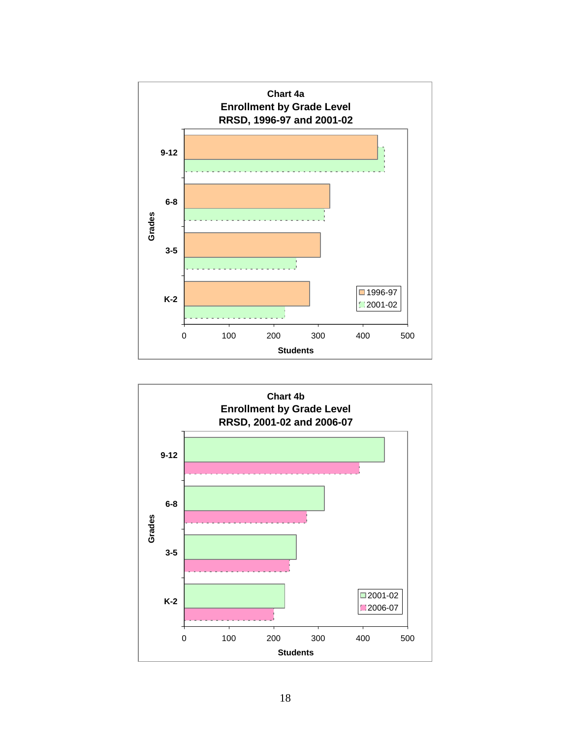

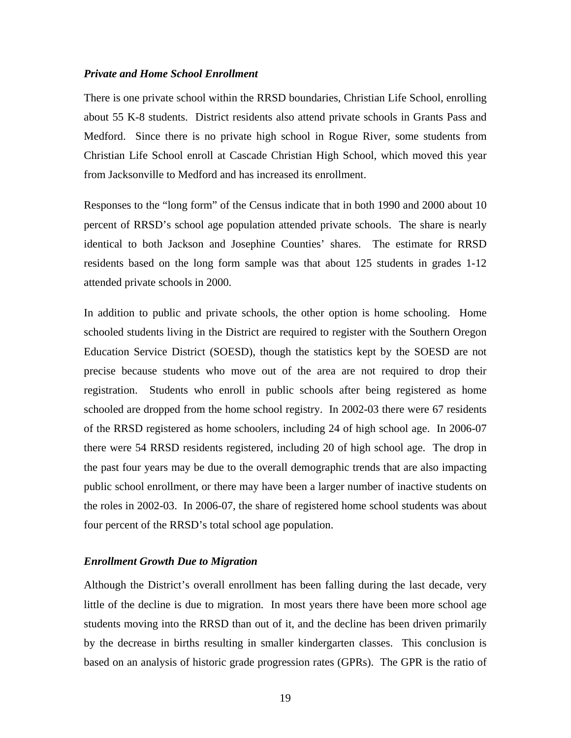#### *Private and Home School Enrollment*

There is one private school within the RRSD boundaries, Christian Life School, enrolling about 55 K-8 students. District residents also attend private schools in Grants Pass and Medford. Since there is no private high school in Rogue River, some students from Christian Life School enroll at Cascade Christian High School, which moved this year from Jacksonville to Medford and has increased its enrollment.

Responses to the "long form" of the Census indicate that in both 1990 and 2000 about 10 percent of RRSD's school age population attended private schools. The share is nearly identical to both Jackson and Josephine Counties' shares. The estimate for RRSD residents based on the long form sample was that about 125 students in grades 1-12 attended private schools in 2000.

In addition to public and private schools, the other option is home schooling. Home schooled students living in the District are required to register with the Southern Oregon Education Service District (SOESD), though the statistics kept by the SOESD are not precise because students who move out of the area are not required to drop their registration. Students who enroll in public schools after being registered as home schooled are dropped from the home school registry. In 2002-03 there were 67 residents of the RRSD registered as home schoolers, including 24 of high school age. In 2006-07 there were 54 RRSD residents registered, including 20 of high school age. The drop in the past four years may be due to the overall demographic trends that are also impacting public school enrollment, or there may have been a larger number of inactive students on the roles in 2002-03. In 2006-07, the share of registered home school students was about four percent of the RRSD's total school age population.

#### *Enrollment Growth Due to Migration*

Although the District's overall enrollment has been falling during the last decade, very little of the decline is due to migration. In most years there have been more school age students moving into the RRSD than out of it, and the decline has been driven primarily by the decrease in births resulting in smaller kindergarten classes. This conclusion is based on an analysis of historic grade progression rates (GPRs). The GPR is the ratio of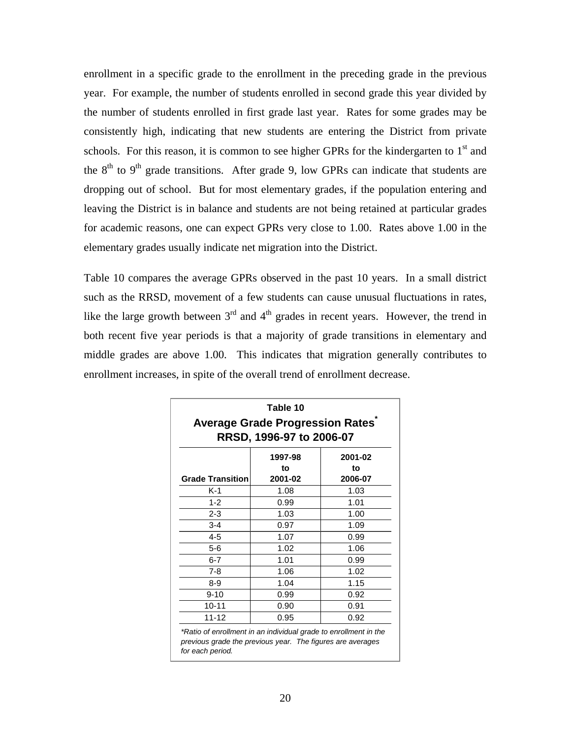enrollment in a specific grade to the enrollment in the preceding grade in the previous year. For example, the number of students enrolled in second grade this year divided by the number of students enrolled in first grade last year. Rates for some grades may be consistently high, indicating that new students are entering the District from private schools. For this reason, it is common to see higher GPRs for the kindergarten to  $1<sup>st</sup>$  and the  $8<sup>th</sup>$  to  $9<sup>th</sup>$  grade transitions. After grade 9, low GPRs can indicate that students are dropping out of school. But for most elementary grades, if the population entering and leaving the District is in balance and students are not being retained at particular grades for academic reasons, one can expect GPRs very close to 1.00. Rates above 1.00 in the elementary grades usually indicate net migration into the District.

Table 10 compares the average GPRs observed in the past 10 years. In a small district such as the RRSD, movement of a few students can cause unusual fluctuations in rates, like the large growth between  $3<sup>rd</sup>$  and  $4<sup>th</sup>$  grades in recent years. However, the trend in both recent five year periods is that a majority of grade transitions in elementary and middle grades are above 1.00. This indicates that migration generally contributes to enrollment increases, in spite of the overall trend of enrollment decrease.

| Table 10<br><b>Average Grade Progression Rates</b><br>RRSD, 1996-97 to 2006-07 |                          |                          |  |  |  |  |  |
|--------------------------------------------------------------------------------|--------------------------|--------------------------|--|--|--|--|--|
| <b>Grade Transition</b>                                                        | 1997-98<br>to<br>2001-02 | 2001-02<br>to<br>2006-07 |  |  |  |  |  |
| K-1                                                                            | 1.08                     | 1.03                     |  |  |  |  |  |
| $1 - 2$                                                                        | 0.99                     | 1.01                     |  |  |  |  |  |
| $2 - 3$                                                                        | 1.03                     | 1.00                     |  |  |  |  |  |
| $3 - 4$                                                                        | 0.97                     | 1.09                     |  |  |  |  |  |
| $4 - 5$                                                                        | 1.07                     | 0.99                     |  |  |  |  |  |
| $5 - 6$                                                                        | 1.02                     | 1.06                     |  |  |  |  |  |
| $6 - 7$                                                                        | 1.01                     | 0.99                     |  |  |  |  |  |
| $7 - 8$                                                                        | 1.06                     | 1.02                     |  |  |  |  |  |
| 8-9                                                                            | 1.04                     | 1.15                     |  |  |  |  |  |
| $9 - 10$                                                                       | 0.99                     | 0.92                     |  |  |  |  |  |
| $10 - 11$                                                                      | 0.90                     | 0.91                     |  |  |  |  |  |
| $11 - 12$                                                                      | 0.95                     | 0.92                     |  |  |  |  |  |

*previous grade the previous year. The figures are averages for each period.*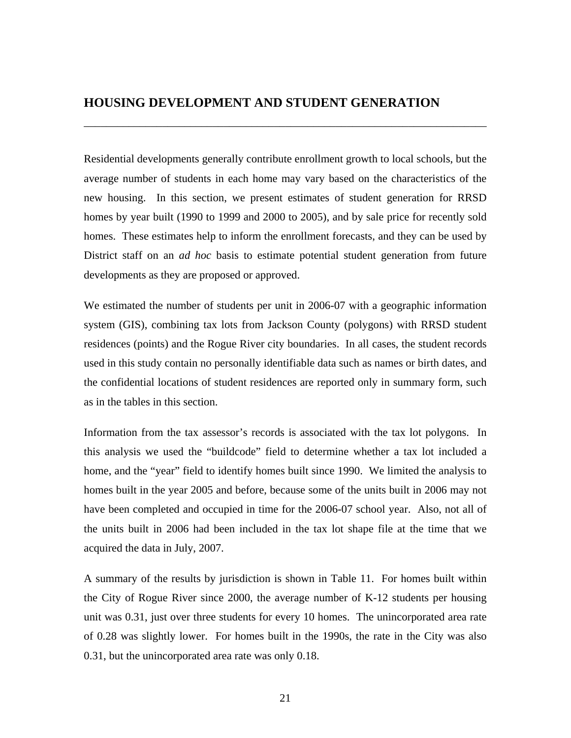#### **HOUSING DEVELOPMENT AND STUDENT GENERATION**

Residential developments generally contribute enrollment growth to local schools, but the average number of students in each home may vary based on the characteristics of the new housing. In this section, we present estimates of student generation for RRSD homes by year built (1990 to 1999 and 2000 to 2005), and by sale price for recently sold homes. These estimates help to inform the enrollment forecasts, and they can be used by District staff on an *ad hoc* basis to estimate potential student generation from future developments as they are proposed or approved.

\_\_\_\_\_\_\_\_\_\_\_\_\_\_\_\_\_\_\_\_\_\_\_\_\_\_\_\_\_\_\_\_\_\_\_\_\_\_\_\_\_\_\_\_\_\_\_\_\_\_\_\_\_\_\_\_\_\_\_\_\_\_\_\_\_\_\_\_\_\_\_\_

We estimated the number of students per unit in 2006-07 with a geographic information system (GIS), combining tax lots from Jackson County (polygons) with RRSD student residences (points) and the Rogue River city boundaries. In all cases, the student records used in this study contain no personally identifiable data such as names or birth dates, and the confidential locations of student residences are reported only in summary form, such as in the tables in this section.

Information from the tax assessor's records is associated with the tax lot polygons. In this analysis we used the "buildcode" field to determine whether a tax lot included a home, and the "year" field to identify homes built since 1990. We limited the analysis to homes built in the year 2005 and before, because some of the units built in 2006 may not have been completed and occupied in time for the 2006-07 school year. Also, not all of the units built in 2006 had been included in the tax lot shape file at the time that we acquired the data in July, 2007.

A summary of the results by jurisdiction is shown in Table 11. For homes built within the City of Rogue River since 2000, the average number of K-12 students per housing unit was 0.31, just over three students for every 10 homes. The unincorporated area rate of 0.28 was slightly lower. For homes built in the 1990s, the rate in the City was also 0.31, but the unincorporated area rate was only 0.18.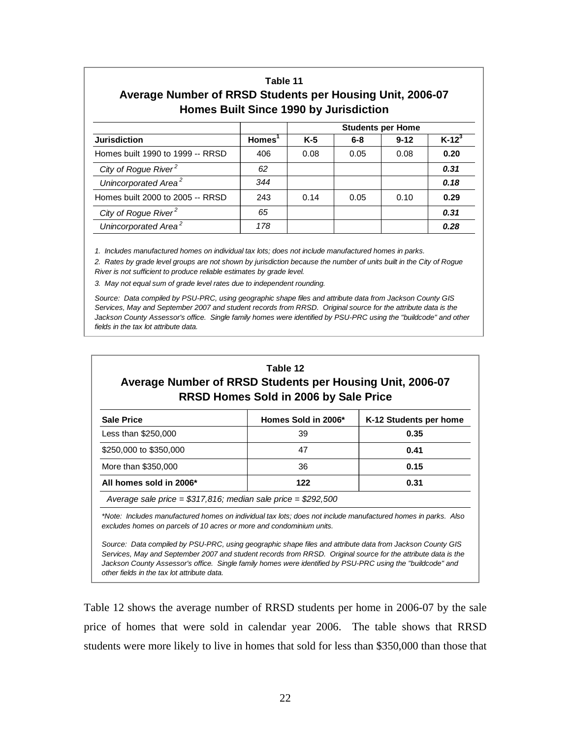#### **Table 11 Average Number of RRSD Students per Housing Unit, 2006-07 Homes Built Since 1990 by Jurisdiction**

|                                  |           |       |         | <b>Students per Home</b> |          |  |  |  |
|----------------------------------|-----------|-------|---------|--------------------------|----------|--|--|--|
| <b>Jurisdiction</b>              | $Homes^1$ | $K-5$ | $6 - 8$ | $9 - 12$                 | $K-12^3$ |  |  |  |
| Homes built 1990 to 1999 -- RRSD | 406       | 0.08  | 0.05    | 0.08                     | 0.20     |  |  |  |
| City of Rogue River <sup>2</sup> | 62        |       |         |                          | 0.31     |  |  |  |
| Unincorporated Area <sup>2</sup> | 344       |       |         |                          | 0.18     |  |  |  |
| Homes built 2000 to 2005 -- RRSD | 243       | 0.14  | 0.05    | 0.10                     | 0.29     |  |  |  |
| City of Rogue River <sup>2</sup> | 65        |       |         |                          | 0.31     |  |  |  |
| Unincorporated Area <sup>2</sup> | 178       |       |         |                          | 0.28     |  |  |  |

*1. Includes manufactured homes on individual tax lots; does not include manufactured homes in parks.*

*2. Rates by grade level groups are not shown by jurisdiction because the number of units built in the City of Rogue River is not sufficient to produce reliable estimates by grade level.*

*3. May not equal sum of grade level rates due to independent rounding.*

*Source: Data compiled by PSU-PRC, using geographic shape files and attribute data from Jackson County GIS Services, May and September 2007 and student records from RRSD. Original source for the attribute data is the Jackson County Assessor's office. Single family homes were identified by PSU-PRC using the "buildcode" and other fields in the tax lot attribute data.*

| Table 12<br>Average Number of RRSD Students per Housing Unit, 2006-07<br>RRSD Homes Sold in 2006 by Sale Price                                                                        |                     |                        |  |  |  |  |  |  |
|---------------------------------------------------------------------------------------------------------------------------------------------------------------------------------------|---------------------|------------------------|--|--|--|--|--|--|
| <b>Sale Price</b>                                                                                                                                                                     | Homes Sold in 2006* | K-12 Students per home |  |  |  |  |  |  |
| Less than \$250,000                                                                                                                                                                   | 39                  | 0.35                   |  |  |  |  |  |  |
| \$250,000 to \$350,000                                                                                                                                                                | 47                  | 0.41                   |  |  |  |  |  |  |
| More than \$350,000                                                                                                                                                                   | 36                  | 0.15                   |  |  |  |  |  |  |
| All homes sold in 2006*                                                                                                                                                               | 122                 | 0.31                   |  |  |  |  |  |  |
| Average sale price = $$317,816$ ; median sale price = $$292,500$                                                                                                                      |                     |                        |  |  |  |  |  |  |
| *Note: Includes manufactured homes on individual tax lots; does not include manufactured homes in parks. Also<br>excludes homes on parcels of 10 acres or more and condominium units. |                     |                        |  |  |  |  |  |  |

*Source: Data compiled by PSU-PRC, using geographic shape files and attribute data from Jackson County GIS Services, May and September 2007 and student records from RRSD. Original source for the attribute data is the Jackson County Assessor's office. Single family homes were identified by PSU-PRC using the "buildcode" and other fields in the tax lot attribute data.*

Table 12 shows the average number of RRSD students per home in 2006-07 by the sale price of homes that were sold in calendar year 2006. The table shows that RRSD students were more likely to live in homes that sold for less than \$350,000 than those that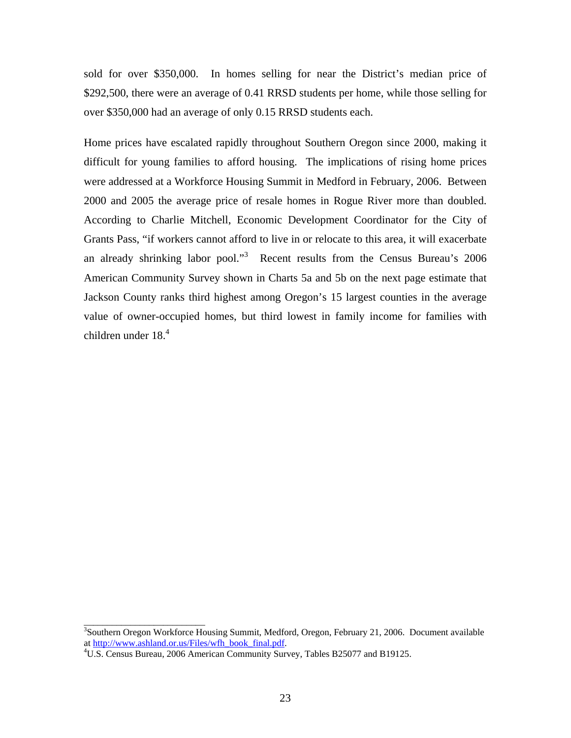sold for over \$350,000. In homes selling for near the District's median price of \$292,500, there were an average of 0.41 RRSD students per home, while those selling for over \$350,000 had an average of only 0.15 RRSD students each.

Home prices have escalated rapidly throughout Southern Oregon since 2000, making it difficult for young families to afford housing. The implications of rising home prices were addressed at a Workforce Housing Summit in Medford in February, 2006. Between 2000 and 2005 the average price of resale homes in Rogue River more than doubled. According to Charlie Mitchell, Economic Development Coordinator for the City of Grants Pass, "if workers cannot afford to live in or relocate to this area, it will exacerbate an already shrinking labor pool."<sup>3</sup> Recent results from the Census Bureau's 2006 American Community Survey shown in Charts 5a and 5b on the next page estimate that Jackson County ranks third highest among Oregon's 15 largest counties in the average value of owner-occupied homes, but third lowest in family income for families with children under  $18<sup>4</sup>$ 

\_\_\_\_\_\_\_\_\_\_\_\_\_\_\_\_\_\_\_\_\_\_\_\_\_\_

<sup>&</sup>lt;sup>3</sup>Southern Oregon Workforce Housing Summit, Medford, Oregon, February 21, 2006. Document available at http://www.ashland.or.us/Files/wfh\_book\_final.pdf. 4

U.S. Census Bureau, 2006 American Community Survey, Tables B25077 and B19125.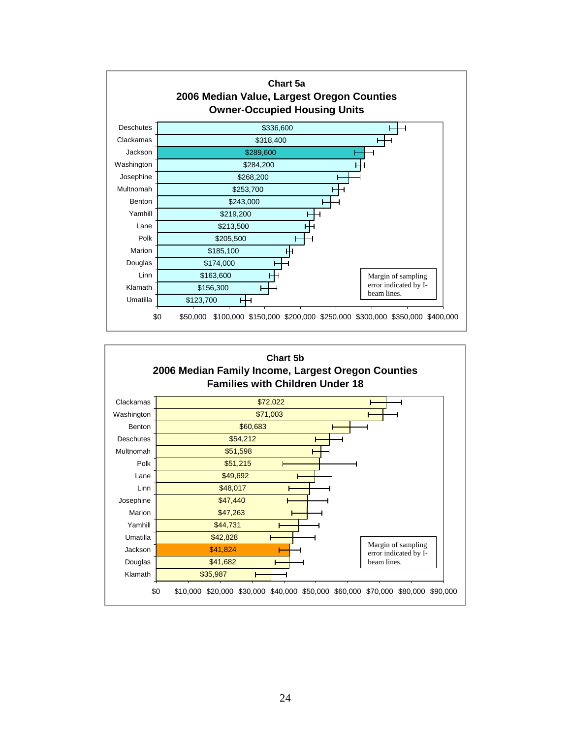

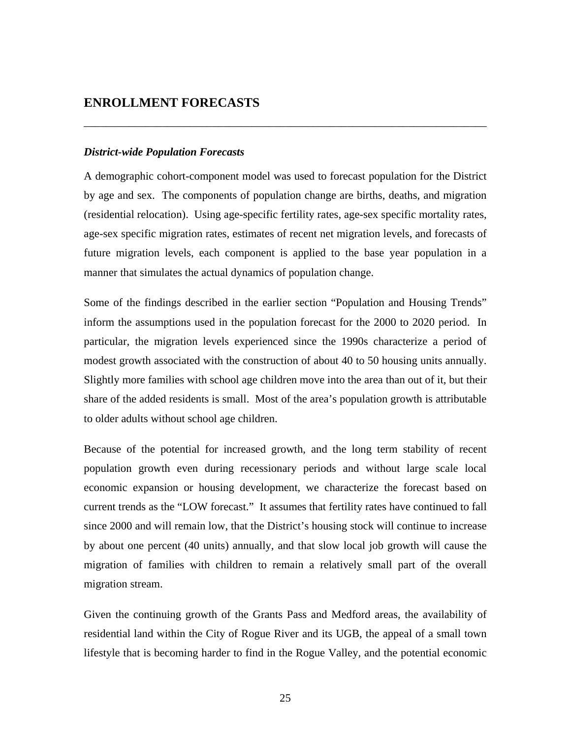#### **ENROLLMENT FORECASTS**

#### *District-wide Population Forecasts*

A demographic cohort-component model was used to forecast population for the District by age and sex. The components of population change are births, deaths, and migration (residential relocation). Using age-specific fertility rates, age-sex specific mortality rates, age-sex specific migration rates, estimates of recent net migration levels, and forecasts of future migration levels, each component is applied to the base year population in a manner that simulates the actual dynamics of population change.

\_\_\_\_\_\_\_\_\_\_\_\_\_\_\_\_\_\_\_\_\_\_\_\_\_\_\_\_\_\_\_\_\_\_\_\_\_\_\_\_\_\_\_\_\_\_\_\_\_\_\_\_\_\_\_\_\_\_\_\_\_\_\_\_\_\_\_\_\_\_\_\_

Some of the findings described in the earlier section "Population and Housing Trends" inform the assumptions used in the population forecast for the 2000 to 2020 period. In particular, the migration levels experienced since the 1990s characterize a period of modest growth associated with the construction of about 40 to 50 housing units annually. Slightly more families with school age children move into the area than out of it, but their share of the added residents is small. Most of the area's population growth is attributable to older adults without school age children.

Because of the potential for increased growth, and the long term stability of recent population growth even during recessionary periods and without large scale local economic expansion or housing development, we characterize the forecast based on current trends as the "LOW forecast." It assumes that fertility rates have continued to fall since 2000 and will remain low, that the District's housing stock will continue to increase by about one percent (40 units) annually, and that slow local job growth will cause the migration of families with children to remain a relatively small part of the overall migration stream.

Given the continuing growth of the Grants Pass and Medford areas, the availability of residential land within the City of Rogue River and its UGB, the appeal of a small town lifestyle that is becoming harder to find in the Rogue Valley, and the potential economic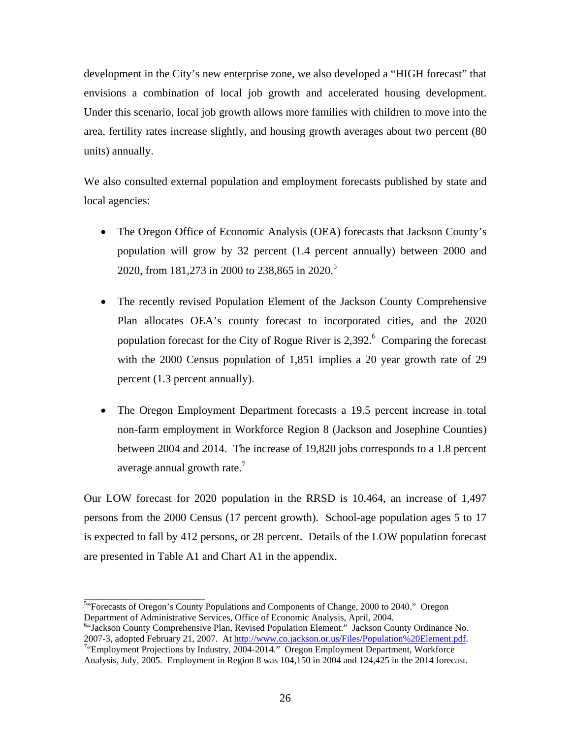development in the City's new enterprise zone, we also developed a "HIGH forecast" that envisions a combination of local job growth and accelerated housing development. Under this scenario, local job growth allows more families with children to move into the area, fertility rates increase slightly, and housing growth averages about two percent (80 units) annually.

We also consulted external population and employment forecasts published by state and local agencies:

- The Oregon Office of Economic Analysis (OEA) forecasts that Jackson County's population will grow by 32 percent (1.4 percent annually) between 2000 and 2020, from 181,273 in 2000 to 238,865 in 2020.<sup>5</sup>
- The recently revised Population Element of the Jackson County Comprehensive Plan allocates OEA's county forecast to incorporated cities, and the 2020 population forecast for the City of Rogue River is  $2,392$ .<sup>6</sup> Comparing the forecast with the 2000 Census population of 1,851 implies a 20 year growth rate of 29 percent (1.3 percent annually).
- The Oregon Employment Department forecasts a 19.5 percent increase in total non-farm employment in Workforce Region 8 (Jackson and Josephine Counties) between 2004 and 2014. The increase of 19,820 jobs corresponds to a 1.8 percent average annual growth rate.<sup>7</sup>

Our LOW forecast for 2020 population in the RRSD is 10,464, an increase of 1,497 persons from the 2000 Census (17 percent growth). School-age population ages 5 to 17 is expected to fall by 412 persons, or 28 percent. Details of the LOW population forecast are presented in Table A1 and Chart A1 in the appendix.

<sup>6</sup>"Jackson County Comprehensive Plan, Revised Population Element." Jackson County Ordinance No. 2007-3, adopted February 21, 2007. At http://www.co.jackson.or.us/Files/Population%20Element.pdf.

<sup>&</sup>lt;sup>5,</sup><br><sup>5,</sup> Forecasts of Oregon's County Populations and Components of Change, 2000 to 2040." Oregon Department of Administrative Services, Office of Economic Analysis, April, 2004.

<sup>&</sup>lt;sup>7</sup>"Employment Projections by Industry, 2004-2014." Oregon Employment Department, Workforce Analysis, July, 2005. Employment in Region 8 was 104,150 in 2004 and 124,425 in the 2014 forecast.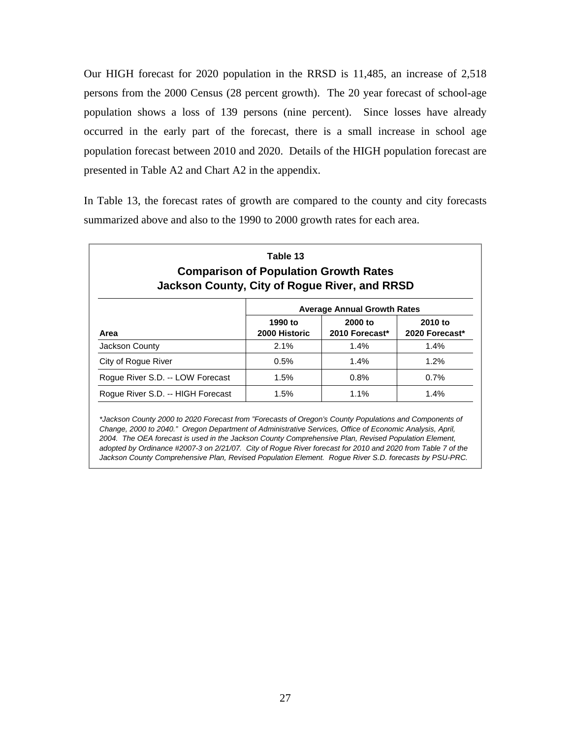Our HIGH forecast for 2020 population in the RRSD is 11,485, an increase of 2,518 persons from the 2000 Census (28 percent growth). The 20 year forecast of school-age population shows a loss of 139 persons (nine percent). Since losses have already occurred in the early part of the forecast, there is a small increase in school age population forecast between 2010 and 2020. Details of the HIGH population forecast are presented in Table A2 and Chart A2 in the appendix.

In Table 13, the forecast rates of growth are compared to the county and city forecasts summarized above and also to the 1990 to 2000 growth rates for each area.

| <b>Comparison of Population Growth Rates</b><br><b>Jackson County, City of Rogue River, and RRSD</b> |                          |                                    |                           |  |  |  |  |  |  |
|------------------------------------------------------------------------------------------------------|--------------------------|------------------------------------|---------------------------|--|--|--|--|--|--|
|                                                                                                      |                          | <b>Average Annual Growth Rates</b> |                           |  |  |  |  |  |  |
| Area                                                                                                 | 1990 to<br>2000 Historic | 2000 to<br>2010 Forecast*          | 2010 to<br>2020 Forecast* |  |  |  |  |  |  |
| Jackson County                                                                                       | $2.1\%$                  | 1.4%                               | 1.4%                      |  |  |  |  |  |  |
| City of Rogue River                                                                                  | 0.5%                     | $1.4\%$                            | 1.2%                      |  |  |  |  |  |  |
| Roque River S.D. -- LOW Forecast                                                                     | 1.5%                     | 0.8%                               | 0.7%                      |  |  |  |  |  |  |
| Roque River S.D. -- HIGH Forecast                                                                    | 1.5%                     | $1.1\%$                            | $1.4\%$                   |  |  |  |  |  |  |

*\*Jackson County 2000 to 2020 Forecast from "Forecasts of Oregon's County Populations and Components of Change, 2000 to 2040." Oregon Department of Administrative Services, Office of Economic Analysis, April, 2004. The OEA forecast is used in the Jackson County Comprehensive Plan, Revised Population Element, adopted by Ordinance #2007-3 on 2/21/07. City of Rogue River forecast for 2010 and 2020 from Table 7 of the Jackson County Comprehensive Plan, Revised Population Element. Rogue River S.D. forecasts by PSU-PRC.*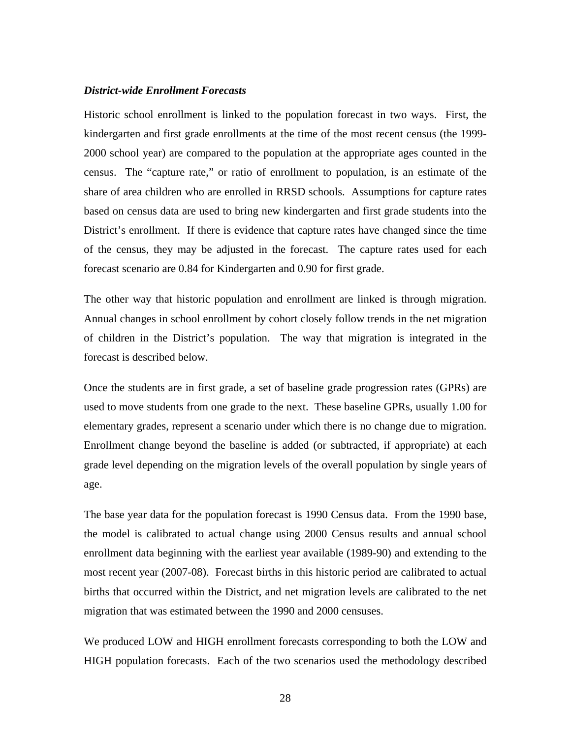#### *District-wide Enrollment Forecasts*

Historic school enrollment is linked to the population forecast in two ways. First, the kindergarten and first grade enrollments at the time of the most recent census (the 1999- 2000 school year) are compared to the population at the appropriate ages counted in the census. The "capture rate," or ratio of enrollment to population, is an estimate of the share of area children who are enrolled in RRSD schools. Assumptions for capture rates based on census data are used to bring new kindergarten and first grade students into the District's enrollment. If there is evidence that capture rates have changed since the time of the census, they may be adjusted in the forecast. The capture rates used for each forecast scenario are 0.84 for Kindergarten and 0.90 for first grade.

The other way that historic population and enrollment are linked is through migration. Annual changes in school enrollment by cohort closely follow trends in the net migration of children in the District's population. The way that migration is integrated in the forecast is described below.

Once the students are in first grade, a set of baseline grade progression rates (GPRs) are used to move students from one grade to the next. These baseline GPRs, usually 1.00 for elementary grades, represent a scenario under which there is no change due to migration. Enrollment change beyond the baseline is added (or subtracted, if appropriate) at each grade level depending on the migration levels of the overall population by single years of age.

The base year data for the population forecast is 1990 Census data. From the 1990 base, the model is calibrated to actual change using 2000 Census results and annual school enrollment data beginning with the earliest year available (1989-90) and extending to the most recent year (2007-08). Forecast births in this historic period are calibrated to actual births that occurred within the District, and net migration levels are calibrated to the net migration that was estimated between the 1990 and 2000 censuses.

We produced LOW and HIGH enrollment forecasts corresponding to both the LOW and HIGH population forecasts. Each of the two scenarios used the methodology described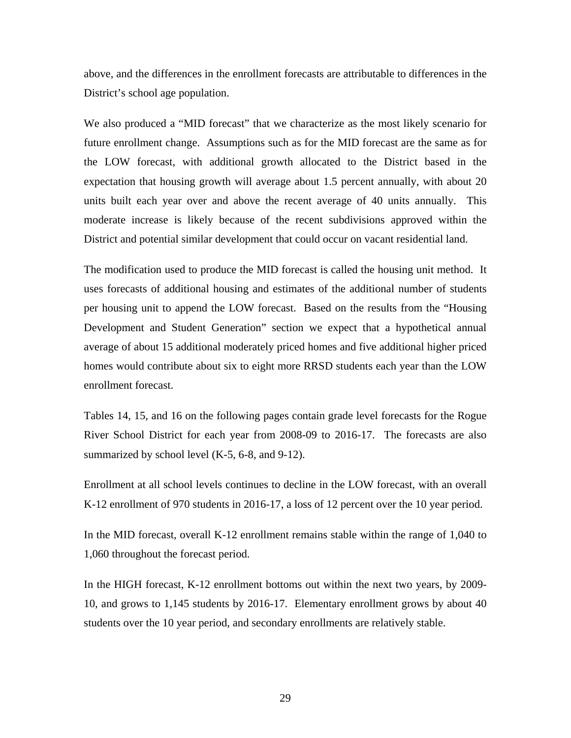above, and the differences in the enrollment forecasts are attributable to differences in the District's school age population.

We also produced a "MID forecast" that we characterize as the most likely scenario for future enrollment change. Assumptions such as for the MID forecast are the same as for the LOW forecast, with additional growth allocated to the District based in the expectation that housing growth will average about 1.5 percent annually, with about 20 units built each year over and above the recent average of 40 units annually. This moderate increase is likely because of the recent subdivisions approved within the District and potential similar development that could occur on vacant residential land.

The modification used to produce the MID forecast is called the housing unit method. It uses forecasts of additional housing and estimates of the additional number of students per housing unit to append the LOW forecast. Based on the results from the "Housing Development and Student Generation" section we expect that a hypothetical annual average of about 15 additional moderately priced homes and five additional higher priced homes would contribute about six to eight more RRSD students each year than the LOW enrollment forecast.

Tables 14, 15, and 16 on the following pages contain grade level forecasts for the Rogue River School District for each year from 2008-09 to 2016-17. The forecasts are also summarized by school level (K-5, 6-8, and 9-12).

Enrollment at all school levels continues to decline in the LOW forecast, with an overall K-12 enrollment of 970 students in 2016-17, a loss of 12 percent over the 10 year period.

In the MID forecast, overall K-12 enrollment remains stable within the range of 1,040 to 1,060 throughout the forecast period.

In the HIGH forecast, K-12 enrollment bottoms out within the next two years, by 2009- 10, and grows to 1,145 students by 2016-17. Elementary enrollment grows by about 40 students over the 10 year period, and secondary enrollments are relatively stable.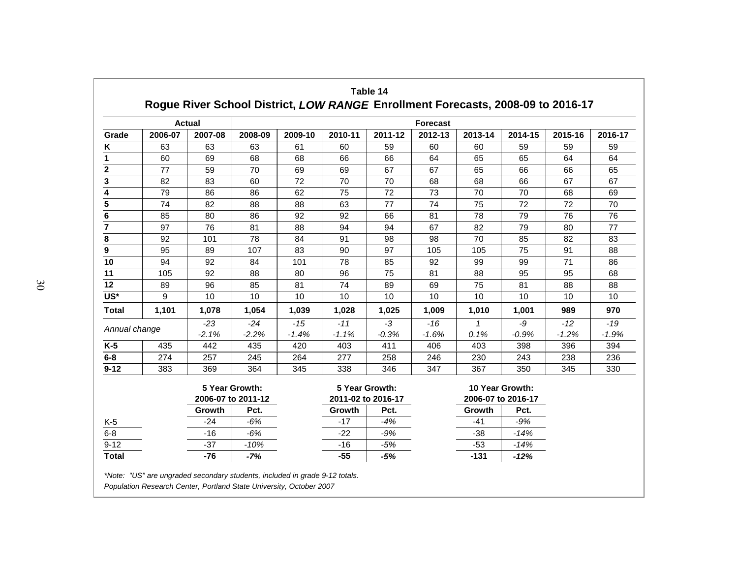|               |         | <b>Actual</b> |                                      |                                      |         |         | <b>Forecast</b>                       |              |         |         |         |
|---------------|---------|---------------|--------------------------------------|--------------------------------------|---------|---------|---------------------------------------|--------------|---------|---------|---------|
| Grade         | 2006-07 | 2007-08       | 2008-09                              | 2009-10                              | 2010-11 | 2011-12 | 2012-13                               | 2013-14      | 2014-15 | 2015-16 | 2016-17 |
| Κ             | 63      | 63            | 63                                   | 61                                   | 60      | 59      | 60                                    | 60           | 59      | 59      | 59      |
| 1             | 60      | 69            | 68                                   | 68                                   | 66      | 66      | 64                                    | 65           | 65      | 64      | 64      |
| $\mathbf 2$   | 77      | 59            | 70                                   | 69                                   | 69      | 67      | 67                                    | 65           | 66      | 66      | 65      |
| 3             | 82      | 83            | 60                                   | 72                                   | 70      | 70      | 68                                    | 68           | 66      | 67      | 67      |
| 4             | 79      | 86            | 86                                   | 62                                   | 75      | 72      | 73                                    | 70           | 70      | 68      | 69      |
| 5             | 74      | 82            | 88                                   | 88                                   | 63      | 77      | 74                                    | 75           | 72      | 72      | 70      |
| 6             | 85      | 80            | 86                                   | 92                                   | 92      | 66      | 81                                    | 78           | 79      | 76      | 76      |
| 7             | 97      | 76            | 81                                   | 88                                   | 94      | 94      | 67                                    | 82           | 79      | 80      | 77      |
| 8             | 92      | 101           | 78                                   | 84                                   | 91      | 98      | 98                                    | 70           | 85      | 82      | 83      |
| 9             | 95      | 89            | 107                                  | 83                                   | 90      | 97      | 105                                   | 105          | 75      | 91      | 88      |
| 10            | 94      | 92            | 84                                   | 101                                  | 78      | 85      | 92                                    | 99           | 99      | 71      | 86      |
| 11            | 105     | 92            | 88                                   | 80                                   | 96      | 75      | 81                                    | 88           | 95      | 95      | 68      |
| 12            | 89      | 96            | 85                                   | 81                                   | 74      | 89      | 69                                    | 75           | 81      | 88      | 88      |
| US*           | 9       | 10            | 10                                   | 10                                   | 10      | 10      | 10                                    | 10           | 10      | 10      | 10      |
| <b>Total</b>  | 1,101   | 1,078         | 1,054                                | 1,039                                | 1,028   | 1,025   | 1,009                                 | 1,010        | 1,001   | 989     | 970     |
|               |         | $-23$         | $-24$                                | $-15$                                | $-11$   | $-3$    | $-16$                                 | $\mathcal I$ | -9      | $-12$   | $-19$   |
| Annual change |         | $-2.1%$       | $-2.2%$                              | $-1.4%$                              | $-1.1%$ | $-0.3%$ | $-1.6%$                               | 0.1%         | $-0.9%$ | $-1.2%$ | $-1.9%$ |
| K-5           | 435     | 442           | 435                                  | 420                                  | 403     | 411     | 406                                   | 403          | 398     | 396     | 394     |
| $6-8$         | 274     | 257           | 245                                  | 264                                  | 277     | 258     | 246                                   | 230          | 243     | 238     | 236     |
| $9 - 12$      | 383     | 369           | 364                                  | 345                                  | 338     | 346     | 347                                   | 367          | 350     | 345     | 330     |
|               |         |               | 5 Year Growth:<br>2006-07 to 2011-12 | 5 Year Growth:<br>2011-02 to 2016-17 |         |         | 10 Year Growth:<br>2006-07 to 2016-17 |              |         |         |         |
|               |         | Growth        | Pct.                                 |                                      | Growth  | Pct.    |                                       | Growth       | Pct.    |         |         |
| K-5           |         | -24           | $-6%$                                |                                      | $-17$   | $-4%$   |                                       | $-41$        | $-9%$   |         |         |
| $6 - 8$       |         | $-16$         | $-6%$                                |                                      | $-22$   | $-9%$   |                                       | $-38$        | $-14%$  |         |         |
| $9 - 12$      |         | $-37$         | $-10%$                               |                                      | $-16$   | $-5%$   |                                       | $-53$        | $-14%$  |         |         |
| <b>Total</b>  |         | $-76$         | $-7%$                                |                                      | $-55$   | $-5%$   |                                       | $-131$       | $-12%$  |         |         |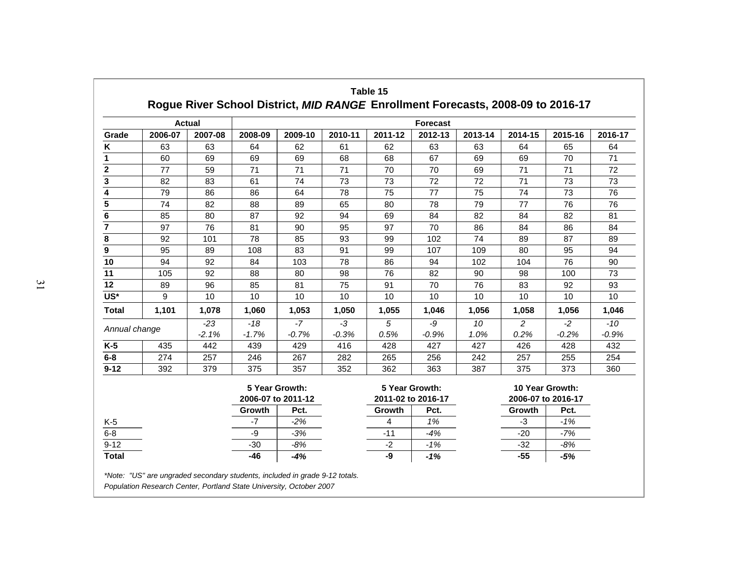|                         |         | <b>Actual</b> |         |                                      |         |         | <b>Forecast</b>                      |         |                    |                 |         |
|-------------------------|---------|---------------|---------|--------------------------------------|---------|---------|--------------------------------------|---------|--------------------|-----------------|---------|
| Grade                   | 2006-07 | 2007-08       | 2008-09 | 2009-10                              | 2010-11 | 2011-12 | 2012-13                              | 2013-14 | 2014-15            | 2015-16         | 2016-17 |
| Κ                       | 63      | 63            | 64      | 62                                   | 61      | 62      | 63                                   | 63      | 64                 | 65              | 64      |
| 1                       | 60      | 69            | 69      | 69                                   | 68      | 68      | 67                                   | 69      | 69                 | 70              | 71      |
| $\overline{\mathbf{2}}$ | 77      | 59            | 71      | 71                                   | 71      | 70      | 70                                   | 69      | 71                 | 71              | 72      |
| 3                       | 82      | 83            | 61      | 74                                   | 73      | 73      | 72                                   | 72      | 71                 | 73              | 73      |
| 4                       | 79      | 86            | 86      | 64                                   | 78      | 75      | 77                                   | 75      | 74                 | 73              | 76      |
| 5                       | 74      | 82            | 88      | 89                                   | 65      | 80      | 78                                   | 79      | 77                 | 76              | 76      |
| 6                       | 85      | 80            | 87      | 92                                   | 94      | 69      | 84                                   | 82      | 84                 | 82              | 81      |
| 7                       | 97      | 76            | 81      | 90                                   | 95      | 97      | 70                                   | 86      | 84                 | 86              | 84      |
| 8                       | 92      | 101           | 78      | 85                                   | 93      | 99      | 102                                  | 74      | 89                 | 87              | 89      |
| 9                       | 95      | 89            | 108     | 83                                   | 91      | 99      | 107                                  | 109     | 80                 | 95              | 94      |
| 10                      | 94      | 92            | 84      | 103                                  | 78      | 86      | 94                                   | 102     | 104                | 76              | 90      |
| 11                      | 105     | 92            | 88      | 80                                   | 98      | 76      | 82                                   | 90      | 98                 | 100             | 73      |
| 12                      | 89      | 96            | 85      | 81                                   | 75      | 91      | 70                                   | 76      | 83                 | 92              | 93      |
| US*                     | 9       | 10            | 10      | 10                                   | 10      | 10      | 10                                   | 10      | 10                 | 10              | 10      |
| <b>Total</b>            | 1,101   | 1,078         | 1,060   | 1,053                                | 1,050   | 1,055   | 1,046                                | 1,056   | 1,058              | 1,056           | 1,046   |
| Annual change           |         | $-23$         | $-18$   | $-7$                                 | $-3$    | 5       | -9                                   | 10      | 2                  | $-2$            | $-10$   |
|                         |         | $-2.1%$       | $-1.7%$ | $-0.7%$                              | $-0.3%$ | 0.5%    | $-0.9%$                              | 1.0%    | 0.2%               | $-0.2%$         | $-0.9%$ |
| $K-5$                   | 435     | 442           | 439     | 429                                  | 416     | 428     | 427                                  | 427     | 426                | 428             | 432     |
| $6-8$                   | 274     | 257           | 246     | 267                                  | 282     | 265     | 256                                  | 242     | 257                | 255             | 254     |
| $9 - 12$                | 392     | 379           | 375     | 357                                  | 352     | 362     | 363                                  | 387     | 375                | 373             | 360     |
|                         |         |               |         | 5 Year Growth:<br>2006-07 to 2011-12 |         |         | 5 Year Growth:<br>2011-02 to 2016-17 |         | 2006-07 to 2016-17 | 10 Year Growth: |         |
|                         |         |               | Growth  | Pct.                                 |         | Growth  | Pct.                                 |         | Growth             | Pct.            |         |
| K-5                     |         |               | $-7$    | $-2%$                                |         | 4       | 1%                                   |         | $-3$               | $-1%$           |         |
| $6 - 8$                 |         |               | -9      | $-3%$                                |         | $-11$   | $-4%$                                |         | $-20$              | $-7%$           |         |
| $9 - 12$                |         |               | $-30$   | $-8%$                                |         | $-2$    | $-1%$                                |         | $-32$              | $-8%$           |         |
| <b>Total</b>            |         |               | $-46$   | $-4%$                                |         | -9      | $-1%$                                |         | $-55$              | $-5%$           |         |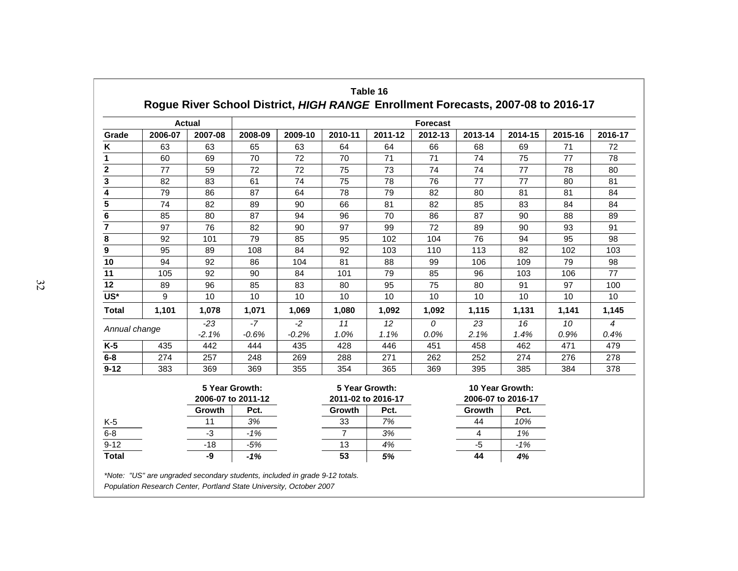|                |         | <b>Actual</b>                        |         |         | <b>Forecast</b>                      |         |         |                                       |         |         |         |
|----------------|---------|--------------------------------------|---------|---------|--------------------------------------|---------|---------|---------------------------------------|---------|---------|---------|
| Grade          | 2006-07 | 2007-08                              | 2008-09 | 2009-10 | 2010-11                              | 2011-12 | 2012-13 | 2013-14                               | 2014-15 | 2015-16 | 2016-17 |
| Κ              | 63      | 63                                   | 65      | 63      | 64                                   | 64      | 66      | 68                                    | 69      | 71      | 72      |
| 1              | 60      | 69                                   | 70      | 72      | 70                                   | 71      | 71      | 74                                    | 75      | 77      | 78      |
| $\mathbf 2$    | 77      | 59                                   | 72      | 72      | 75                                   | 73      | 74      | 74                                    | 77      | 78      | 80      |
| 3              | 82      | 83                                   | 61      | 74      | 75                                   | 78      | 76      | 77                                    | 77      | 80      | 81      |
| 4              | 79      | 86                                   | 87      | 64      | 78                                   | 79      | 82      | 80                                    | 81      | 81      | 84      |
| 5              | 74      | 82                                   | 89      | 90      | 66                                   | 81      | 82      | 85                                    | 83      | 84      | 84      |
| 6              | 85      | 80                                   | 87      | 94      | 96                                   | 70      | 86      | 87                                    | 90      | 88      | 89      |
| $\overline{7}$ | 97      | 76                                   | 82      | 90      | 97                                   | 99      | 72      | 89                                    | 90      | 93      | 91      |
| 8              | 92      | 101                                  | 79      | 85      | 95                                   | 102     | 104     | 76                                    | 94      | 95      | 98      |
| 9              | 95      | 89                                   | 108     | 84      | 92                                   | 103     | 110     | 113                                   | 82      | 102     | 103     |
| 10             | 94      | 92                                   | 86      | 104     | 81                                   | 88      | 99      | 106                                   | 109     | 79      | 98      |
| 11             | 105     | 92                                   | 90      | 84      | 101                                  | 79      | 85      | 96                                    | 103     | 106     | 77      |
| 12             | 89      | 96                                   | 85      | 83      | 80                                   | 95      | 75      | 80                                    | 91      | 97      | 100     |
| US*            | 9       | 10                                   | 10      | 10      | 10                                   | 10      | 10      | 10                                    | 10      | 10      | 10      |
| <b>Total</b>   | 1,101   | 1,078                                | 1,071   | 1,069   | 1,080                                | 1,092   | 1,092   | 1,115                                 | 1,131   | 1,141   | 1,145   |
|                |         | $-23$                                | $-7$    | $-2$    | 11                                   | 12      | 0       | 23                                    | 16      | 10      | 4       |
| Annual change  |         | $-2.1%$                              | $-0.6%$ | $-0.2%$ | 1.0%                                 | 1.1%    | 0.0%    | 2.1%                                  | 1.4%    | 0.9%    | 0.4%    |
| $K-5$          | 435     | 442                                  | 444     | 435     | 428                                  | 446     | 451     | 458                                   | 462     | 471     | 479     |
| $6 - 8$        | 274     | 257                                  | 248     | 269     | 288                                  | 271     | 262     | 252                                   | 274     | 276     | 278     |
| $9 - 12$       | 383     | 369                                  | 369     | 355     | 354                                  | 365     | 369     | 395                                   | 385     | 384     | 378     |
|                |         | 5 Year Growth:<br>2006-07 to 2011-12 |         |         | 5 Year Growth:<br>2011-02 to 2016-17 |         |         | 10 Year Growth:<br>2006-07 to 2016-17 |         |         |         |
|                |         | Growth                               | Pct.    |         | Growth                               | Pct.    |         | Growth                                | Pct.    |         |         |
| $K-5$          |         | 11                                   | 3%      |         | 33                                   | 7%      |         | 44                                    | 10%     |         |         |
| $6 - 8$        |         | $-3$                                 | $-1%$   |         | $\overline{7}$                       | 3%      |         | 4                                     | 1%      |         |         |
| $9 - 12$       |         | $-18$                                | $-5%$   |         | 13                                   | 4%      |         | $-5$                                  | $-1%$   |         |         |
| <b>Total</b>   |         | -9                                   | $-1%$   |         | 53                                   | 5%      |         | 44                                    | 4%      |         |         |

*Population Research Center, Portland State University, October 2007*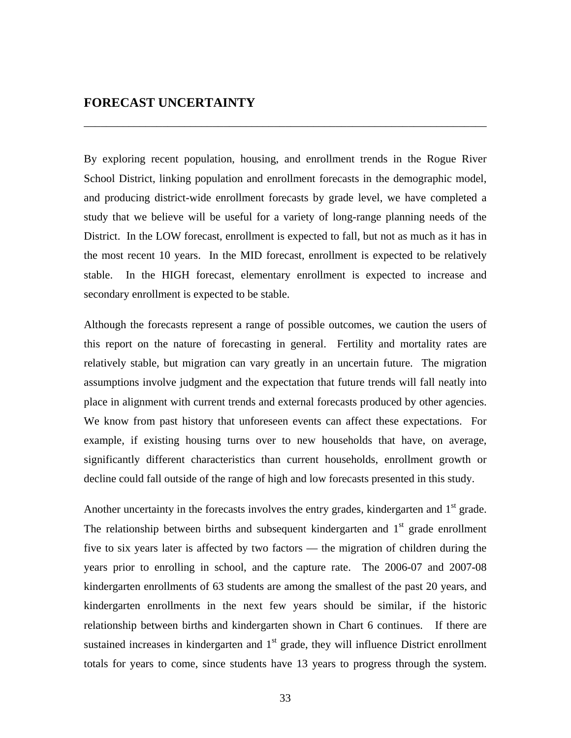#### **FORECAST UNCERTAINTY**

By exploring recent population, housing, and enrollment trends in the Rogue River School District, linking population and enrollment forecasts in the demographic model, and producing district-wide enrollment forecasts by grade level, we have completed a study that we believe will be useful for a variety of long-range planning needs of the District. In the LOW forecast, enrollment is expected to fall, but not as much as it has in the most recent 10 years. In the MID forecast, enrollment is expected to be relatively stable. In the HIGH forecast, elementary enrollment is expected to increase and secondary enrollment is expected to be stable.

\_\_\_\_\_\_\_\_\_\_\_\_\_\_\_\_\_\_\_\_\_\_\_\_\_\_\_\_\_\_\_\_\_\_\_\_\_\_\_\_\_\_\_\_\_\_\_\_\_\_\_\_\_\_\_\_\_\_\_\_\_\_\_\_\_\_\_\_\_\_\_\_

Although the forecasts represent a range of possible outcomes, we caution the users of this report on the nature of forecasting in general. Fertility and mortality rates are relatively stable, but migration can vary greatly in an uncertain future. The migration assumptions involve judgment and the expectation that future trends will fall neatly into place in alignment with current trends and external forecasts produced by other agencies. We know from past history that unforeseen events can affect these expectations. For example, if existing housing turns over to new households that have, on average, significantly different characteristics than current households, enrollment growth or decline could fall outside of the range of high and low forecasts presented in this study.

Another uncertainty in the forecasts involves the entry grades, kindergarten and  $1<sup>st</sup>$  grade. The relationship between births and subsequent kindergarten and  $1<sup>st</sup>$  grade enrollment five to six years later is affected by two factors — the migration of children during the years prior to enrolling in school, and the capture rate. The 2006-07 and 2007-08 kindergarten enrollments of 63 students are among the smallest of the past 20 years, and kindergarten enrollments in the next few years should be similar, if the historic relationship between births and kindergarten shown in Chart 6 continues. If there are sustained increases in kindergarten and  $1<sup>st</sup>$  grade, they will influence District enrollment totals for years to come, since students have 13 years to progress through the system.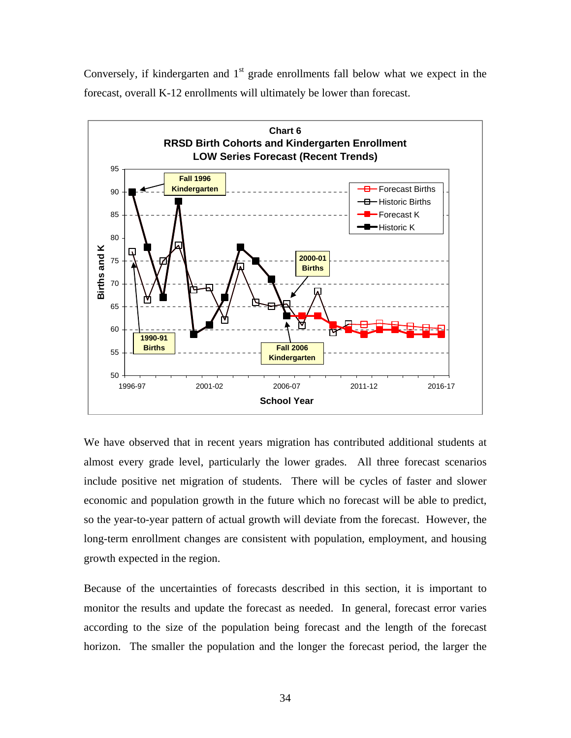Conversely, if kindergarten and  $1<sup>st</sup>$  grade enrollments fall below what we expect in the forecast, overall K-12 enrollments will ultimately be lower than forecast.



We have observed that in recent years migration has contributed additional students at almost every grade level, particularly the lower grades. All three forecast scenarios include positive net migration of students. There will be cycles of faster and slower economic and population growth in the future which no forecast will be able to predict, so the year-to-year pattern of actual growth will deviate from the forecast. However, the long-term enrollment changes are consistent with population, employment, and housing growth expected in the region.

Because of the uncertainties of forecasts described in this section, it is important to monitor the results and update the forecast as needed. In general, forecast error varies according to the size of the population being forecast and the length of the forecast horizon. The smaller the population and the longer the forecast period, the larger the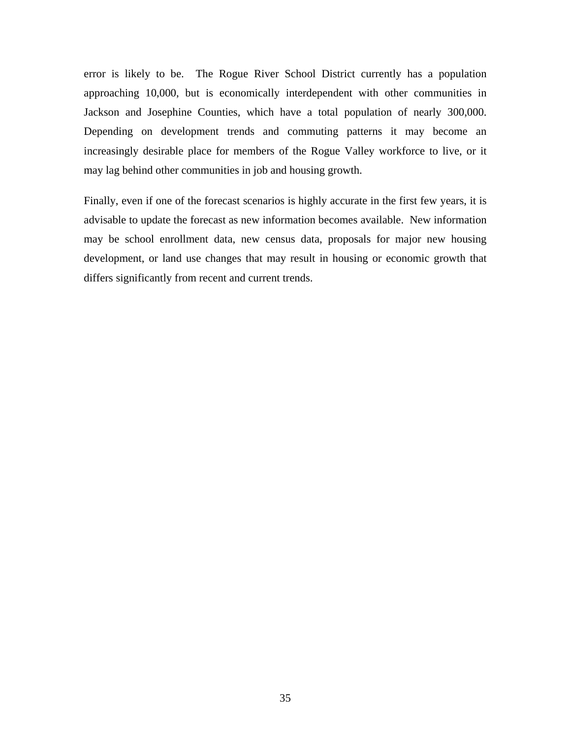error is likely to be. The Rogue River School District currently has a population approaching 10,000, but is economically interdependent with other communities in Jackson and Josephine Counties, which have a total population of nearly 300,000. Depending on development trends and commuting patterns it may become an increasingly desirable place for members of the Rogue Valley workforce to live, or it may lag behind other communities in job and housing growth.

Finally, even if one of the forecast scenarios is highly accurate in the first few years, it is advisable to update the forecast as new information becomes available. New information may be school enrollment data, new census data, proposals for major new housing development, or land use changes that may result in housing or economic growth that differs significantly from recent and current trends.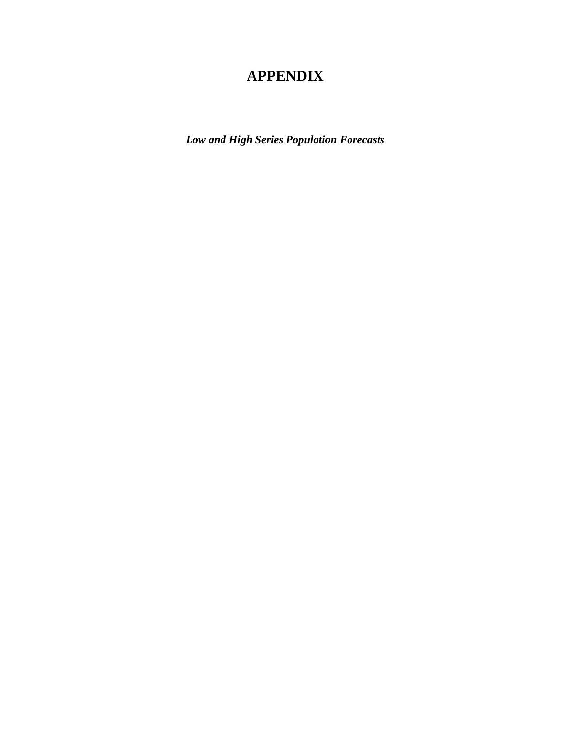# **APPENDIX**

*Low and High Series Population Forecasts*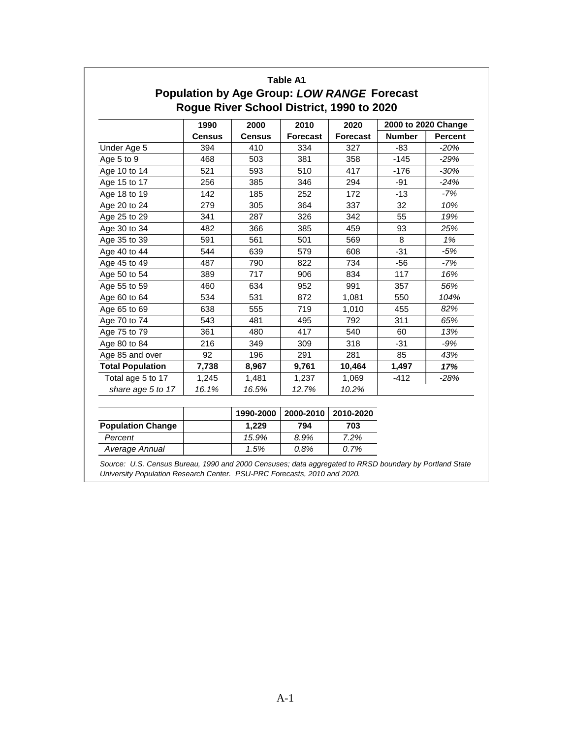|                         | 1990          | 2000          | 2010            | 2020            |               | 2000 to 2020 Change |
|-------------------------|---------------|---------------|-----------------|-----------------|---------------|---------------------|
|                         | <b>Census</b> | <b>Census</b> | <b>Forecast</b> | <b>Forecast</b> | <b>Number</b> | <b>Percent</b>      |
| Under Age 5             | 394           | 410           | 334             | 327             | -83           | $-20%$              |
| Age 5 to 9              | 468           | 503           | 381             | 358             | $-145$        | $-29%$              |
| Age 10 to 14            | 521           | 593           | 510             | 417             | $-176$        | $-30%$              |
| Age 15 to 17            | 256           | 385           | 346             | 294             | -91           | $-24%$              |
| Age 18 to 19            | 142           | 185           | 252             | 172             | $-13$         | $-7%$               |
| Age 20 to 24            | 279           | 305           | 364             | 337             | 32            | 10%                 |
| Age 25 to 29            | 341           | 287           | 326             | 342             | 55            | 19%                 |
| Age 30 to 34            | 482           | 366           | 385             | 459             | 93            | 25%                 |
| Age 35 to 39            | 591           | 561           | 501             | 569             | 8             | 1%                  |
| Age 40 to 44            | 544           | 639           | 579             | 608             | $-31$         | $-5%$               |
| Age 45 to 49            | 487           | 790           | 822             | 734             | -56           | -7%                 |
| Age 50 to 54            | 389           | 717           | 906             | 834             | 117           | 16%                 |
| Age 55 to 59            | 460           | 634           | 952             | 991             | 357           | 56%                 |
| Age 60 to 64            | 534           | 531           | 872             | 1,081           | 550           | 104%                |
| Age 65 to 69            | 638           | 555           | 719             | 1,010           | 455           | 82%                 |
| Age 70 to 74            | 543           | 481           | 495             | 792             | 311           | 65%                 |
| Age 75 to 79            | 361           | 480           | 417             | 540             | 60            | 13%                 |
| Age 80 to 84            | 216           | 349           | 309             | 318             | $-31$         | $-9%$               |
| Age 85 and over         | 92            | 196           | 291             | 281             | 85            | 43%                 |
| <b>Total Population</b> | 7,738         | 8,967         | 9,761           | 10,464          | 1,497         | 17%                 |
| Total age 5 to 17       | 1,245         | 1,481         | 1,237           | 1,069           | -412          | $-28%$              |
| share age 5 to 17       | 16.1%         | 16.5%         | 12.7%           | 10.2%           |               |                     |

|                          | 1990-2000 | 2000-2010 | 2010-2020 |
|--------------------------|-----------|-----------|-----------|
| <b>Population Change</b> | 1.229     | 794       | 703       |
| Percent                  | 15.9%     | 8.9%      | 7.2%      |
| Average Annual           | 1.5%      | $0.8\%$   | $0.7\%$   |

*Source: U.S. Census Bureau, 1990 and 2000 Censuses; data aggregated to RRSD boundary by Portland State University Population Research Center. PSU-PRC Forecasts, 2010 and 2020.*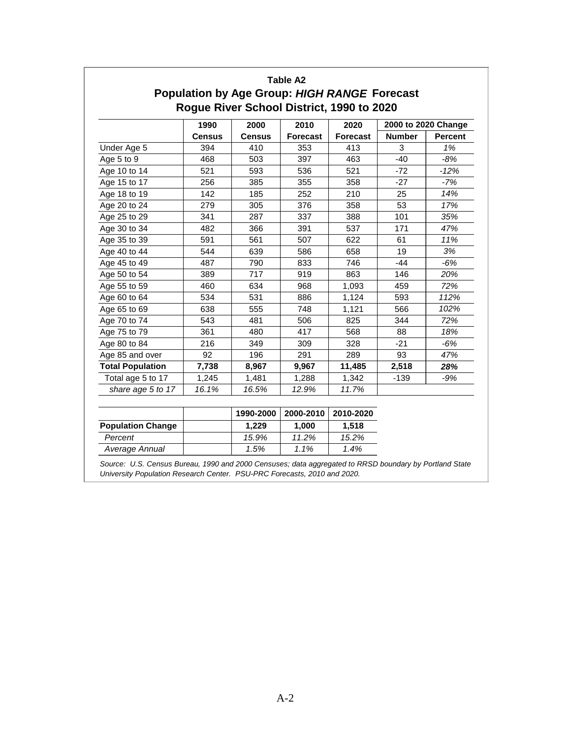|                         | 1990          | 2000          | 2010            | 2020            | 2000 to 2020 Change |                |
|-------------------------|---------------|---------------|-----------------|-----------------|---------------------|----------------|
|                         | <b>Census</b> | <b>Census</b> | <b>Forecast</b> | <b>Forecast</b> | <b>Number</b>       | <b>Percent</b> |
| Under Age 5             | 394           | 410           | 353             | 413             | 3                   | 1%             |
| Age 5 to 9              | 468           | 503           | 397             | 463             | $-40$               | -8%            |
| Age 10 to 14            | 521           | 593           | 536             | 521             | $-72$               | $-12%$         |
| Age 15 to 17            | 256           | 385           | 355             | 358             | $-27$               | -7%            |
| Age 18 to 19            | 142           | 185           | 252             | 210             | 25                  | 14%            |
| Age 20 to 24            | 279           | 305           | 376             | 358             | 53                  | 17%            |
| Age 25 to 29            | 341           | 287           | 337             | 388             | 101                 | 35%            |
| Age 30 to 34            | 482           | 366           | 391             | 537             | 171                 | 47%            |
| Age 35 to 39            | 591           | 561           | 507             | 622             | 61                  | 11%            |
| Age 40 to 44            | 544           | 639           | 586             | 658             | 19                  | 3%             |
| Age 45 to 49            | 487           | 790           | 833             | 746             | $-44$               | $-6%$          |
| Age 50 to 54            | 389           | 717           | 919             | 863             | 146                 | 20%            |
| Age 55 to 59            | 460           | 634           | 968             | 1,093           | 459                 | 72%            |
| Age 60 to 64            | 534           | 531           | 886             | 1,124           | 593                 | 112%           |
| Age 65 to 69            | 638           | 555           | 748             | 1,121           | 566                 | 102%           |
| Age 70 to 74            | 543           | 481           | 506             | 825             | 344                 | 72%            |
| Age 75 to 79            | 361           | 480           | 417             | 568             | 88                  | 18%            |
| Age 80 to 84            | 216           | 349           | 309             | 328             | $-21$               | $-6%$          |
| Age 85 and over         | 92            | 196           | 291             | 289             | 93                  | 47%            |
| <b>Total Population</b> | 7,738         | 8,967         | 9,967           | 11,485          | 2,518               | 28%            |
| Total age 5 to 17       | 1,245         | 1,481         | 1,288           | 1,342           | $-139$              | $-9%$          |
| share age 5 to 17       | 16.1%         | 16.5%         | 12.9%           | 11.7%           |                     |                |

|                          | 1990-2000 | 2000-2010 | 2010-2020 |
|--------------------------|-----------|-----------|-----------|
| <b>Population Change</b> | 1.229     | 1.000     | 1.518     |
| Percent                  | 15.9%     | 11.2%     | 15.2%     |
| Average Annual           | 1.5%      | 1.1%      | 1.4%      |

*Source: U.S. Census Bureau, 1990 and 2000 Censuses; data aggregated to RRSD boundary by Portland State University Population Research Center. PSU-PRC Forecasts, 2010 and 2020.*